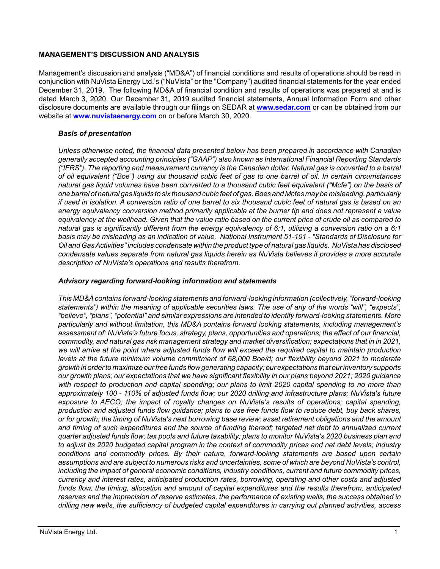## **MANAGEMENT'S DISCUSSION AND ANALYSIS**

Management's discussion and analysis ("MD&A") of financial conditions and results of operations should be read in conjunction with NuVista Energy Ltd.'s ("NuVista" or the "Company") audited financial statements for the year ended December 31, 2019. The following MD&A of financial condition and results of operations was prepared at and is dated March 3, 2020. Our December 31, 2019 audited financial statements, Annual Information Form and other disclosure documents are available through our filings on SEDAR at **[www.sedar.com](http://www.sedar.com)** or can be obtained from our website at **[www.nuvistaenergy.com](http://www.nuvistaenergy.com)** on or before March 30, 2020.

## *Basis of presentation*

*Unless otherwise noted, the financial data presented below has been prepared in accordance with Canadian generally accepted accounting principles ("GAAP") also known as International Financial Reporting Standards ("IFRS"). The reporting and measurement currency is the Canadian dollar. Natural gas is converted to a barrel of oil equivalent ("Boe") using six thousand cubic feet of gas to one barrel of oil. In certain circumstances natural gas liquid volumes have been converted to a thousand cubic feet equivalent ("Mcfe") on the basis of one barrel of natural gas liquids to six thousand cubic feet of gas. Boes and Mcfes may be misleading, particularly if used in isolation. A conversion ratio of one barrel to six thousand cubic feet of natural gas is based on an energy equivalency conversion method primarily applicable at the burner tip and does not represent a value equivalency at the wellhead. Given that the value ratio based on the current price of crude oil as compared to natural gas is significantly different from the energy equivalency of 6:1, utilizing a conversion ratio on a 6:1 basis may be misleading as an indication of value. National Instrument 51-101 - "Standards of Disclosure for Oil and Gas Activities" includes condensate within the product type of natural gas liquids. NuVista has disclosed condensate values separate from natural gas liquids herein as NuVista believes it provides a more accurate description of NuVista's operations and results therefrom.* 

## *Advisory regarding forward-looking information and statements*

*This MD&A contains forward-looking statements and forward-looking information (collectively, "forward-looking statements") within the meaning of applicable securities laws. The use of any of the words "will", "expects", "believe", "plans", "potential" and similar expressions are intended to identify forward-looking statements. More particularly and without limitation, this MD&A contains forward looking statements, including management's assessment of: NuVista's future focus, strategy, plans, opportunities and operations; the effect of our financial, commodity, and natural gas risk management strategy and market diversification; expectations that in in 2021, we will arrive at the point where adjusted funds flow will exceed the required capital to maintain production levels at the future minimum volume commitment of 68,000 Boe/d; our flexibility beyond 2021 to moderate growth in order to maximize our free funds flow generating capacity; our expectations that our inventory supports our growth plans; our expectations that we have significant flexibility in our plans beyond 2021; 2020 guidance with respect to production and capital spending; our plans to limit 2020 capital spending to no more than approximately 100 - 110% of adjusted funds flow; our 2020 drilling and infrastructure plans; NuVista's future exposure to AECO; the impact of royalty changes on NuVista's results of operations; capital spending, production and adjusted funds flow guidance; plans to use free funds flow to reduce debt, buy back shares, or for growth; the timing of NuVista's next borrowing base review; asset retirement obligations and the amount and timing of such expenditures and the source of funding thereof; targeted net debt to annualized current quarter adjusted funds flow; tax pools and future taxability; plans to monitor NuVista's 2020 business plan and to adjust its 2020 budgeted capital program in the context of commodity prices and net debt levels; industry conditions and commodity prices. By their nature, forward-looking statements are based upon certain assumptions and are subject to numerous risks and uncertainties, some of which are beyond NuVista's control, including the impact of general economic conditions, industry conditions, current and future commodity prices, currency and interest rates, anticipated production rates, borrowing, operating and other costs and adjusted funds flow, the timing, allocation and amount of capital expenditures and the results therefrom, anticipated reserves and the imprecision of reserve estimates, the performance of existing wells, the success obtained in drilling new wells, the sufficiency of budgeted capital expenditures in carrying out planned activities, access*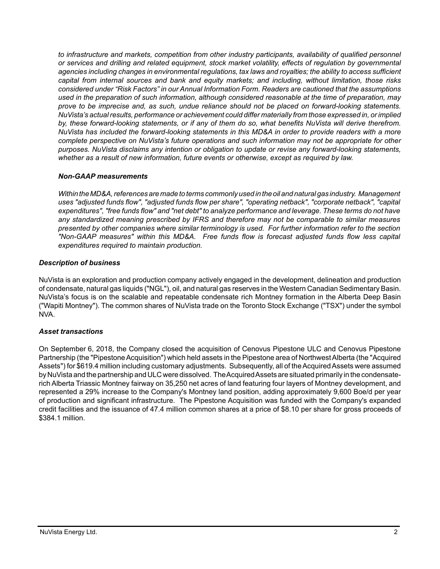*to infrastructure and markets, competition from other industry participants, availability of qualified personnel or services and drilling and related equipment, stock market volatility, effects of regulation by governmental agencies including changes in environmental regulations, tax laws and royalties; the ability to access sufficient capital from internal sources and bank and equity markets; and including, without limitation, those risks considered under "Risk Factors" in our Annual Information Form. Readers are cautioned that the assumptions used in the preparation of such information, although considered reasonable at the time of preparation, may prove to be imprecise and, as such, undue reliance should not be placed on forward-looking statements. NuVista's actual results, performance or achievement could differ materially from those expressed in, or implied by, these forward-looking statements, or if any of them do so, what benefits NuVista will derive therefrom. NuVista has included the forward-looking statements in this MD&A in order to provide readers with a more complete perspective on NuVista's future operations and such information may not be appropriate for other purposes. NuVista disclaims any intention or obligation to update or revise any forward-looking statements, whether as a result of new information, future events or otherwise, except as required by law.*

## *Non-GAAP measurements*

*Within the MD&A, references are made to terms commonly used in the oil and natural gas industry. Management uses "adjusted funds flow", "adjusted funds flow per share", "operating netback", "corporate netback", "capital expenditures", "free funds flow" and "net debt" to analyze performance and leverage. These terms do not have any standardized meaning prescribed by IFRS and therefore may not be comparable to similar measures presented by other companies where similar terminology is used. For further information refer to the section "Non-GAAP measures" within this MD&A. Free funds flow is forecast adjusted funds flow less capital expenditures required to maintain production.* 

## *Description of business*

NuVista is an exploration and production company actively engaged in the development, delineation and production of condensate, natural gas liquids ("NGL"), oil, and natural gas reserves in the Western Canadian Sedimentary Basin. NuVista's focus is on the scalable and repeatable condensate rich Montney formation in the Alberta Deep Basin ("Wapiti Montney"). The common shares of NuVista trade on the Toronto Stock Exchange ("TSX") under the symbol NVA.

# *Asset transactions*

On September 6, 2018, the Company closed the acquisition of Cenovus Pipestone ULC and Cenovus Pipestone Partnership (the "Pipestone Acquisition") which held assets in the Pipestone area of Northwest Alberta (the "Acquired Assets") for \$619.4 million including customary adjustments. Subsequently, all of the Acquired Assets were assumed by NuVista and the partnership and ULC were dissolved. The Acquired Assets are situated primarily in the condensaterich Alberta Triassic Montney fairway on 35,250 net acres of land featuring four layers of Montney development, and represented a 29% increase to the Company's Montney land position, adding approximately 9,600 Boe/d per year of production and significant infrastructure. The Pipestone Acquisition was funded with the Company's expanded credit facilities and the issuance of 47.4 million common shares at a price of \$8.10 per share for gross proceeds of \$384.1 million.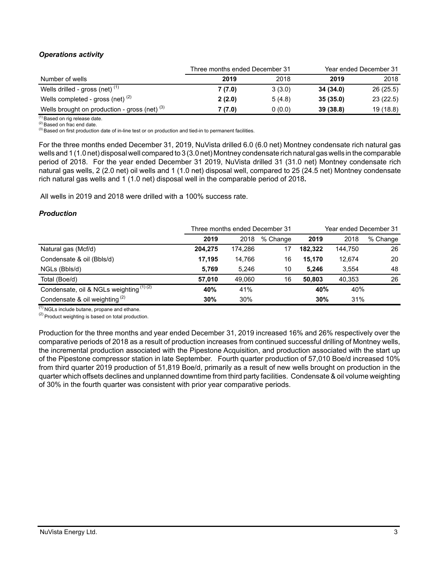# *Operations activity*

|                                                 | Three months ended December 31 |        | Year ended December 31 |           |
|-------------------------------------------------|--------------------------------|--------|------------------------|-----------|
| Number of wells                                 | 2019                           | 2018   | 2019                   | 2018      |
| Wells drilled - gross (net) $(1)$               | 7(7.0)                         | 3(3.0) | 34 (34.0)              | 26 (25.5) |
| Wells completed - gross (net) $(2)$             | 2(2.0)                         | 5(4.8) | 35(35.0)               | 23(22.5)  |
| Wells brought on production - gross (net) $(3)$ | 7 (7.0)                        | 0(0.0) | 39 (38.8)              | 19 (18.8) |

 $(1)$  Based on rig release date.

(2) Based on frac end date.

(3) Based on first production date of in-line test or on production and tied-in to permanent facilities.

For the three months ended December 31, 2019, NuVista drilled 6.0 (6.0 net) Montney condensate rich natural gas wells and 1 (1.0 net) disposal well compared to 3 (3.0 net) Montney condensate rich natural gas wells in the comparable period of 2018. For the year ended December 31 2019, NuVista drilled 31 (31.0 net) Montney condensate rich natural gas wells, 2 (2.0 net) oil wells and 1 (1.0 net) disposal well, compared to 25 (24.5 net) Montney condensate rich natural gas wells and 1 (1.0 net) disposal well in the comparable period of 2018**.**

All wells in 2019 and 2018 were drilled with a 100% success rate.

## *Production*

|                                          |         |         | Three months ended December 31 | Year ended December 31 |         |          |  |
|------------------------------------------|---------|---------|--------------------------------|------------------------|---------|----------|--|
|                                          | 2019    | 2018    | % Change                       | 2019                   | 2018    | % Change |  |
| Natural gas (Mcf/d)                      | 204.275 | 174.286 | 17                             | 182.322                | 144.750 | 26       |  |
| Condensate & oil (Bbls/d)                | 17.195  | 14.766  | 16                             | 15.170                 | 12,674  | 20       |  |
| NGLs (Bbls/d)                            | 5.769   | 5.246   | 10                             | 5.246                  | 3,554   | 48       |  |
| Total (Boe/d)                            | 57.010  | 49.060  | 16                             | 50.803                 | 40.353  | 26       |  |
| Condensate, oil & NGLs weighting (1) (2) | 40%     | 41%     |                                | 40%                    | 40%     |          |  |
| Condensate & oil weighting $(2)$         | 30%     | 30%     |                                | 30%                    | 31%     |          |  |

 $\overline{^{(1)}}$  NGLs include butane, propane and ethane.

 $(2)$  Product weighting is based on total production.

Production for the three months and year ended December 31, 2019 increased 16% and 26% respectively over the comparative periods of 2018 as a result of production increases from continued successful drilling of Montney wells, the incremental production associated with the Pipestone Acquisition, and production associated with the start up of the Pipestone compressor station in late September. Fourth quarter production of 57,010 Boe/d increased 10% from third quarter 2019 production of 51,819 Boe/d, primarily as a result of new wells brought on production in the quarter which offsets declines and unplanned downtime from third party facilities. Condensate & oil volume weighting of 30% in the fourth quarter was consistent with prior year comparative periods.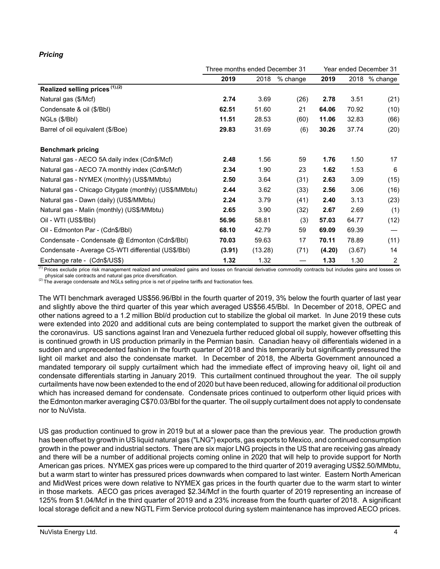# *Pricing*

|                                                       | Three months ended December 31 |         |          |        | Year ended December 31 |                 |  |
|-------------------------------------------------------|--------------------------------|---------|----------|--------|------------------------|-----------------|--|
|                                                       | 2019                           | 2018    | % change | 2019   |                        | $2018$ % change |  |
| Realized selling prices (1),(2)                       |                                |         |          |        |                        |                 |  |
| Natural gas (\$/Mcf)                                  | 2.74                           | 3.69    | (26)     | 2.78   | 3.51                   | (21)            |  |
| Condensate & oil (\$/Bbl)                             | 62.51                          | 51.60   | 21       | 64.06  | 70.92                  | (10)            |  |
| NGLs (\$/Bbl)                                         | 11.51                          | 28.53   | (60)     | 11.06  | 32.83                  | (66)            |  |
| Barrel of oil equivalent (\$/Boe)                     | 29.83                          | 31.69   | (6)      | 30.26  | 37.74                  | (20)            |  |
| <b>Benchmark pricing</b>                              |                                |         |          |        |                        |                 |  |
| Natural gas - AECO 5A daily index (Cdn\$/Mcf)         | 2.48                           | 1.56    | 59       | 1.76   | 1.50                   | 17              |  |
| Natural gas - AECO 7A monthly index (Cdn\$/Mcf)       | 2.34                           | 1.90    | 23       | 1.62   | 1.53                   | 6               |  |
| Natural gas - NYMEX (monthly) (US\$/MMbtu)            | 2.50                           | 3.64    | (31)     | 2.63   | 3.09                   | (15)            |  |
| Natural gas - Chicago Citygate (monthly) (US\$/MMbtu) | 2.44                           | 3.62    | (33)     | 2.56   | 3.06                   | (16)            |  |
| Natural gas - Dawn (daily) (US\$/MMbtu)               | 2.24                           | 3.79    | (41)     | 2.40   | 3.13                   | (23)            |  |
| Natural gas - Malin (monthly) (US\$/MMbtu)            | 2.65                           | 3.90    | (32)     | 2.67   | 2.69                   | (1)             |  |
| Oil - WTI (US\$/BbI)                                  | 56.96                          | 58.81   | (3)      | 57.03  | 64.77                  | (12)            |  |
| Oil - Edmonton Par - (Cdn\$/Bbl)                      | 68.10                          | 42.79   | 59       | 69.09  | 69.39                  |                 |  |
| Condensate - Condensate @ Edmonton (Cdn\$/Bbl)        | 70.03                          | 59.63   | 17       | 70.11  | 78.89                  | (11)            |  |
| Condensate - Average C5-WTI differential (US\$/BbI)   | (3.91)                         | (13.28) | (71)     | (4.20) | (3.67)                 | 14              |  |
| Exchange rate - (Cdn\$/US\$)                          | 1.32                           | 1.32    |          | 1.33   | 1.30                   | $\overline{c}$  |  |

(1) Prices exclude price risk management realized and unrealized gains and losses on financial derivative commodity contracts but includes gains and losses on physical sale contracts and natural gas price diversification.

 $(2)$  The average condensate and NGLs selling price is net of pipeline tariffs and fractionation fees.

The WTI benchmark averaged US\$56.96/Bbl in the fourth quarter of 2019, 3% below the fourth quarter of last year and slightly above the third quarter of this year which averaged US\$56.45/Bbl. In December of 2018, OPEC and other nations agreed to a 1.2 million Bbl/d production cut to stabilize the global oil market. In June 2019 these cuts were extended into 2020 and additional cuts are being contemplated to support the market given the outbreak of the coronavirus. US sanctions against Iran and Venezuela further reduced global oil supply, however offsetting this is continued growth in US production primarily in the Permian basin. Canadian heavy oil differentials widened in a sudden and unprecedented fashion in the fourth quarter of 2018 and this temporarily but significantly pressured the light oil market and also the condensate market. In December of 2018, the Alberta Government announced a mandated temporary oil supply curtailment which had the immediate effect of improving heavy oil, light oil and condensate differentials starting in January 2019. This curtailment continued throughout the year. The oil supply curtailments have now been extended to the end of 2020 but have been reduced, allowing for additional oil production which has increased demand for condensate. Condensate prices continued to outperform other liquid prices with the Edmonton marker averaging C\$70.03/Bbl for the quarter. The oil supply curtailment does not apply to condensate nor to NuVista.

US gas production continued to grow in 2019 but at a slower pace than the previous year. The production growth has been offset by growth in US liquid natural gas ("LNG") exports, gas exports to Mexico, and continued consumption growth in the power and industrial sectors. There are six major LNG projects in the US that are receiving gas already and there will be a number of additional projects coming online in 2020 that will help to provide support for North American gas prices. NYMEX gas prices were up compared to the third quarter of 2019 averaging US\$2.50/MMbtu, but a warm start to winter has pressured prices downwards when compared to last winter. Eastern North American and MidWest prices were down relative to NYMEX gas prices in the fourth quarter due to the warm start to winter in those markets. AECO gas prices averaged \$2.34/Mcf in the fourth quarter of 2019 representing an increase of 125% from \$1.04/Mcf in the third quarter of 2019 and a 23% increase from the fourth quarter of 2018. A significant local storage deficit and a new NGTL Firm Service protocol during system maintenance has improved AECO prices.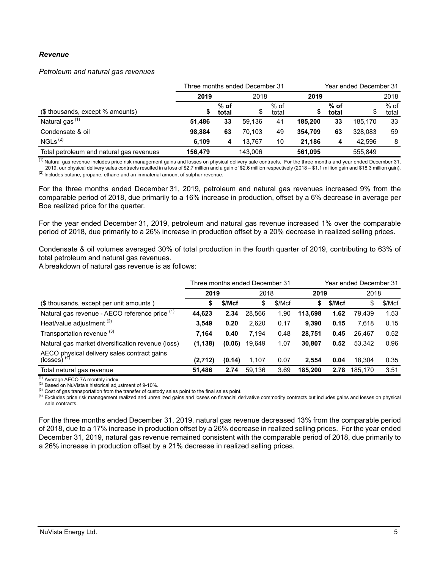### *Revenue*

#### *Petroleum and natural gas revenues*

|                                          |         |                 | Three months ended December 31 |                 |         | Year ended December 31 |         |                 |  |
|------------------------------------------|---------|-----------------|--------------------------------|-----------------|---------|------------------------|---------|-----------------|--|
|                                          | 2019    |                 | 2018                           |                 | 2019    |                        | 2018    |                 |  |
| (\$ thousands, except % amounts)         | S       | $%$ of<br>total | \$                             | $%$ of<br>total |         | $%$ of<br>total        |         | $%$ of<br>total |  |
| Natural gas <sup>(1)</sup>               | 51.486  | 33              | 59.136                         | 41              | 185.200 | 33                     | 185.170 | 33              |  |
| Condensate & oil                         | 98.884  | 63              | 70.103                         | 49              | 354.709 | 63                     | 328.083 | 59              |  |
| NGLs <sup>(2)</sup>                      | 6.109   | 4               | 13.767                         | 10              | 21.186  | 4                      | 42.596  | 8               |  |
| Total petroleum and natural gas revenues | 156.479 |                 | 143.006                        |                 | 561.095 |                        | 555.849 |                 |  |

<sup>(1)</sup> Natural gas revenue includes price risk management gains and losses on physical delivery sale contracts. For the three months and year ended December 31, 2019, our physical delivery sales contracts resulted in a loss of \$2.7 million and a gain of \$2.6 million respectively (2018 – \$1.1 million gain and \$18.3 million gain).  $^{(2)}$  Includes butane, propane, ethane and an immaterial amount of sulphur revenue.

For the three months ended December 31, 2019, petroleum and natural gas revenues increased 9% from the comparable period of 2018, due primarily to a 16% increase in production, offset by a 6% decrease in average per Boe realized price for the quarter.

For the year ended December 31, 2019, petroleum and natural gas revenue increased 1% over the comparable period of 2018, due primarily to a 26% increase in production offset by a 20% decrease in realized selling prices.

Condensate & oil volumes averaged 30% of total production in the fourth quarter of 2019, contributing to 63% of total petroleum and natural gas revenues.

A breakdown of natural gas revenue is as follows:

|                                                            | Three months ended December 31 |        |        |        |         | Year ended December 31 |         |        |  |
|------------------------------------------------------------|--------------------------------|--------|--------|--------|---------|------------------------|---------|--------|--|
|                                                            | 2019<br>2018                   |        |        |        | 2019    |                        | 2018    |        |  |
| (\$ thousands, except per unit amounts)                    | S                              | \$/Mcf | \$     | \$/Mcf | \$      | \$/Mcf                 | \$      | \$/Mcf |  |
| Natural gas revenue - AECO reference price (1)             | 44,623                         | 2.34   | 28,566 | 1.90   | 113.698 | 1.62                   | 79.439  | 1.53   |  |
| Heat/value adjustment <sup>(2)</sup>                       | 3.549                          | 0.20   | 2,620  | 0.17   | 9.390   | 0.15                   | 7.618   | 0.15   |  |
| Transportation revenue (3)                                 | 7.164                          | 0.40   | 7,194  | 0.48   | 28,751  | 0.45                   | 26.467  | 0.52   |  |
| Natural gas market diversification revenue (loss)          | (1, 138)                       | (0.06) | 19,649 | 1.07   | 30.807  | 0.52                   | 53.342  | 0.96   |  |
| AECO physical delivery sales contract gains (losses) $(4)$ | (2,712)                        | (0.14) | 1,107  | 0.07   | 2.554   | 0.04                   | 18.304  | 0.35   |  |
| Total natural gas revenue                                  | 51,486                         | 2.74   | 59.136 | 3.69   | 185.200 | 2.78                   | 185.170 | 3.51   |  |

 $(1)$  Average AECO 7A monthly index.

(2) Based on NuVista's historical adjustment of 9-10%.

<sup>(3)</sup> Cost of gas transportation from the transfer of custody sales point to the final sales point.

<sup>(4)</sup> Excludes price risk management realized and unrealized gains and losses on financial derivative commodity contracts but includes gains and losses on physical sale contracts.

For the three months ended December 31, 2019, natural gas revenue decreased 13% from the comparable period of 2018, due to a 17% increase in production offset by a 26% decrease in realized selling prices. For the year ended December 31, 2019, natural gas revenue remained consistent with the comparable period of 2018, due primarily to a 26% increase in production offset by a 21% decrease in realized selling prices.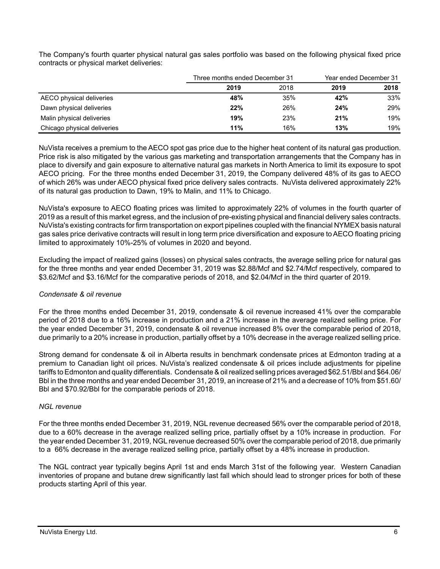|                             |      | Three months ended December 31 |      |      |
|-----------------------------|------|--------------------------------|------|------|
|                             | 2019 | 2018                           | 2019 | 2018 |
| AECO physical deliveries    | 48%  | 35%                            | 42%  | 33%  |
| Dawn physical deliveries    | 22%  | 26%                            | 24%  | 29%  |
| Malin physical deliveries   | 19%  | 23%                            | 21%  | 19%  |
| Chicago physical deliveries | 11%  | 16%                            | 13%  | 19%  |

The Company's fourth quarter physical natural gas sales portfolio was based on the following physical fixed price contracts or physical market deliveries:

NuVista receives a premium to the AECO spot gas price due to the higher heat content of its natural gas production. Price risk is also mitigated by the various gas marketing and transportation arrangements that the Company has in place to diversify and gain exposure to alternative natural gas markets in North America to limit its exposure to spot AECO pricing. For the three months ended December 31, 2019, the Company delivered 48% of its gas to AECO of which 26% was under AECO physical fixed price delivery sales contracts. NuVista delivered approximately 22% of its natural gas production to Dawn, 19% to Malin, and 11% to Chicago.

NuVista's exposure to AECO floating prices was limited to approximately 22% of volumes in the fourth quarter of 2019 as a result of this market egress, and the inclusion of pre-existing physical and financial delivery sales contracts. NuVista's existing contracts for firm transportation on export pipelines coupled with the financial NYMEX basis natural gas sales price derivative contracts will result in long term price diversification and exposure to AECO floating pricing limited to approximately 10%-25% of volumes in 2020 and beyond.

Excluding the impact of realized gains (losses) on physical sales contracts, the average selling price for natural gas for the three months and year ended December 31, 2019 was \$2.88/Mcf and \$2.74/Mcf respectively, compared to \$3.62/Mcf and \$3.16/Mcf for the comparative periods of 2018, and \$2.04/Mcf in the third quarter of 2019.

# *Condensate & oil revenue*

For the three months ended December 31, 2019, condensate & oil revenue increased 41% over the comparable period of 2018 due to a 16% increase in production and a 21% increase in the average realized selling price. For the year ended December 31, 2019, condensate & oil revenue increased 8% over the comparable period of 2018, due primarily to a 20% increase in production, partially offset by a 10% decrease in the average realized selling price.

Strong demand for condensate & oil in Alberta results in benchmark condensate prices at Edmonton trading at a premium to Canadian light oil prices. NuVista's realized condensate & oil prices include adjustments for pipeline tariffs to Edmonton and quality differentials. Condensate & oil realized selling prices averaged \$62.51/Bbl and \$64.06/ Bbl in the three months and year ended December 31, 2019, an increase of 21% and a decrease of 10% from \$51.60/ Bbl and \$70.92/Bbl for the comparable periods of 2018.

# *NGL revenue*

For the three months ended December 31, 2019, NGL revenue decreased 56% over the comparable period of 2018, due to a 60% decrease in the average realized selling price, partially offset by a 10% increase in production. For the year ended December 31, 2019, NGL revenue decreased 50% over the comparable period of 2018, due primarily to a 66% decrease in the average realized selling price, partially offset by a 48% increase in production.

The NGL contract year typically begins April 1st and ends March 31st of the following year. Western Canadian inventories of propane and butane drew significantly last fall which should lead to stronger prices for both of these products starting April of this year.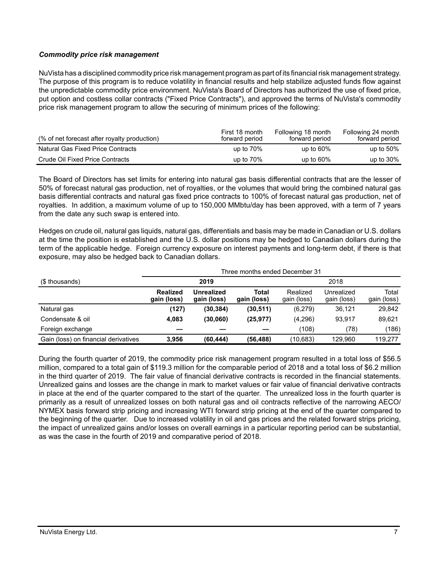## *Commodity price risk management*

NuVista has a disciplined commodity price risk management program as part of its financial risk management strategy. The purpose of this program is to reduce volatility in financial results and help stabilize adjusted funds flow against the unpredictable commodity price environment. NuVista's Board of Directors has authorized the use of fixed price, put option and costless collar contracts ("Fixed Price Contracts"), and approved the terms of NuVista's commodity price risk management program to allow the securing of minimum prices of the following:

| (% of net forecast after royalty production) | First 18 month<br>forward period | Following 18 month<br>forward period | Following 24 month<br>forward period |
|----------------------------------------------|----------------------------------|--------------------------------------|--------------------------------------|
| Natural Gas Fixed Price Contracts            | up to $70\%$                     | up to $60\%$                         | up to $50\%$                         |
| Crude Oil Fixed Price Contracts              | up to $70\%$                     | up to $60\%$                         | up to $30\%$                         |

The Board of Directors has set limits for entering into natural gas basis differential contracts that are the lesser of 50% of forecast natural gas production, net of royalties, or the volumes that would bring the combined natural gas basis differential contracts and natural gas fixed price contracts to 100% of forecast natural gas production, net of royalties. In addition, a maximum volume of up to 150,000 MMbtu/day has been approved, with a term of 7 years from the date any such swap is entered into.

Hedges on crude oil, natural gas liquids, natural gas, differentials and basis may be made in Canadian or U.S. dollars at the time the position is established and the U.S. dollar positions may be hedged to Canadian dollars during the term of the applicable hedge. Foreign currency exposure on interest payments and long-term debt, if there is that exposure, may also be hedged back to Canadian dollars.

|                                      |                                |                                  | Three months ended December 31 |                         |                           |                      |  |  |  |
|--------------------------------------|--------------------------------|----------------------------------|--------------------------------|-------------------------|---------------------------|----------------------|--|--|--|
| (\$ thousands)                       |                                | 2019                             |                                |                         | 2018                      |                      |  |  |  |
|                                      | <b>Realized</b><br>gain (loss) | <b>Unrealized</b><br>gain (loss) | Total<br>gain (loss)           | Realized<br>gain (loss) | Unrealized<br>gain (loss) | Total<br>gain (loss) |  |  |  |
| Natural gas                          | (127)                          | (30, 384)                        | (30, 511)                      | (6,279)                 | 36,121                    | 29,842               |  |  |  |
| Condensate & oil                     | 4,083                          | (30,060)                         | (25, 977)                      | (4,296)                 | 93.917                    | 89.621               |  |  |  |
| Foreign exchange                     |                                |                                  |                                | (108)                   | (78)                      | (186)                |  |  |  |
| Gain (loss) on financial derivatives | 3.956                          | (60.444)                         | (56, 488)                      | (10.683)                | 129.960                   | 119.277              |  |  |  |

During the fourth quarter of 2019, the commodity price risk management program resulted in a total loss of \$56.5 million, compared to a total gain of \$119.3 million for the comparable period of 2018 and a total loss of \$6.2 million in the third quarter of 2019. The fair value of financial derivative contracts is recorded in the financial statements. Unrealized gains and losses are the change in mark to market values or fair value of financial derivative contracts in place at the end of the quarter compared to the start of the quarter. The unrealized loss in the fourth quarter is primarily as a result of unrealized losses on both natural gas and oil contracts reflective of the narrowing AECO/ NYMEX basis forward strip pricing and increasing WTI forward strip pricing at the end of the quarter compared to the beginning of the quarter. Due to increased volatility in oil and gas prices and the related forward strips pricing, the impact of unrealized gains and/or losses on overall earnings in a particular reporting period can be substantial, as was the case in the fourth of 2019 and comparative period of 2018.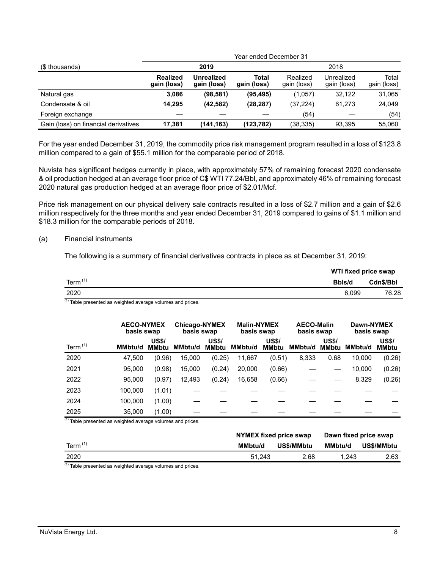|                                      |                         | Year ended December 31           |                      |                         |                           |                      |  |  |
|--------------------------------------|-------------------------|----------------------------------|----------------------|-------------------------|---------------------------|----------------------|--|--|
| (\$ thousands)                       |                         | 2019                             |                      | 2018                    |                           |                      |  |  |
|                                      | Realized<br>gain (loss) | <b>Unrealized</b><br>gain (loss) | Total<br>gain (loss) | Realized<br>gain (loss) | Unrealized<br>gain (loss) | Total<br>gain (loss) |  |  |
| Natural gas                          | 3,086                   | (98, 581)                        | (95, 495)            | (1,057)                 | 32.122                    | 31,065               |  |  |
| Condensate & oil                     | 14.295                  | (42, 582)                        | (28, 287)            | (37, 224)               | 61.273                    | 24,049               |  |  |
| Foreign exchange                     |                         |                                  |                      | (54)                    |                           | (54)                 |  |  |
| Gain (loss) on financial derivatives | 17.381                  | (141,163)                        | (123,782)            | (38, 335)               | 93.395                    | 55.060               |  |  |

For the year ended December 31, 2019, the commodity price risk management program resulted in a loss of \$123.8 million compared to a gain of \$55.1 million for the comparable period of 2018.

Nuvista has significant hedges currently in place, with approximately 57% of remaining forecast 2020 condensate & oil production hedged at an average floor price of C\$ WTI 77.24/Bbl, and approximately 46% of remaining forecast 2020 natural gas production hedged at an average floor price of \$2.01/Mcf.

Price risk management on our physical delivery sale contracts resulted in a loss of \$2.7 million and a gain of \$2.6 million respectively for the three months and year ended December 31, 2019 compared to gains of \$1.1 million and \$18.3 million for the comparable periods of 2018.

#### (a) Financial instruments

The following is a summary of financial derivatives contracts in place as at December 31, 2019:

|            | WTI fixed price swap |           |
|------------|----------------------|-----------|
| Term $(1)$ | Bbls/d               | Cdn\$/Bbl |
| 2020       | 6.099                | 76.28     |

 $\frac{1}{1}$  Table presented as weighted average volumes and prices.

|            | <b>AECO-NYMEX</b><br>basis swap |                              | <b>Chicago-NYMEX</b><br>basis swap |                              | <b>Malin-NYMEX</b><br>basis swap |                              | <b>AECO-Malin</b><br>basis swap |                              | Dawn-NYMEX<br>basis swap |                              |
|------------|---------------------------------|------------------------------|------------------------------------|------------------------------|----------------------------------|------------------------------|---------------------------------|------------------------------|--------------------------|------------------------------|
| Term $(1)$ | <b>MMbtu/d</b>                  | <b>US\$/</b><br><b>MMbtu</b> | MMbtu/d                            | <b>US\$/</b><br><b>MMbtu</b> | <b>MMbtu/d</b>                   | <b>US\$/</b><br><b>MMbtu</b> | MMbtu/d                         | <b>US\$/</b><br><b>MMbtu</b> | <b>MMbtu/d</b>           | <b>US\$/</b><br><b>MMbtu</b> |
| 2020       | 47.500                          | (0.96)                       | 15,000                             | (0.25)                       | 11,667                           | (0.51)                       | 8,333                           | 0.68                         | 10.000                   | (0.26)                       |
| 2021       | 95,000                          | (0.98)                       | 15,000                             | (0.24)                       | 20,000                           | (0.66)                       |                                 |                              | 10,000                   | (0.26)                       |
| 2022       | 95,000                          | (0.97)                       | 12,493                             | (0.24)                       | 16,658                           | (0.66)                       |                                 |                              | 8,329                    | (0.26)                       |
| 2023       | 100,000                         | (1.01)                       |                                    |                              |                                  |                              |                                 |                              |                          |                              |
| 2024       | 100.000                         | (1.00)                       |                                    |                              |                                  |                              |                                 |                              |                          |                              |
| 2025       | 35,000                          | (1.00)                       |                                    |                              |                                  |                              |                                 |                              |                          |                              |

 $(1)$  Table presented as weighted average volumes and prices.

|            | NYMEX fixed price swap |            | Dawn fixed price swap |            |  |
|------------|------------------------|------------|-----------------------|------------|--|
| Term $(1)$ | MMbtu/d                | US\$/MMbtu |                       | US\$/MMbtu |  |
| 2020       | 51.243                 | 2.68       | 1.243                 | 2.63       |  |

 $(1)$  Table presented as weighted average volumes and prices.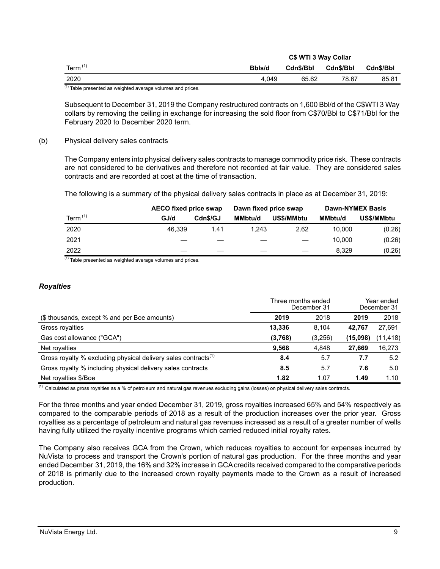|                           |        | C\$ WTI 3 Way Collar |           |           |
|---------------------------|--------|----------------------|-----------|-----------|
| Term $(1)$                | Bbls/d | Cdn\$/Bbl            | Cdn\$/Bbl | Cdn\$/Bbl |
| 2020                      | 4.049  | 65.62                | 78.67     | 85.81     |
| $(1) - \cdot$<br>.<br>. . |        |                      |           |           |

 $<sup>(1)</sup>$  Table presented as weighted average volumes and prices.</sup>

Subsequent to December 31, 2019 the Company restructured contracts on 1,600 Bbl/d of the C\$WTI 3 Way collars by removing the ceiling in exchange for increasing the sold floor from C\$70/Bbl to C\$71/Bbl for the February 2020 to December 2020 term.

#### (b) Physical delivery sales contracts

The Company enters into physical delivery sales contracts to manage commodity price risk. These contracts are not considered to be derivatives and therefore not recorded at fair value. They are considered sales contracts and are recorded at cost at the time of transaction.

The following is a summary of the physical delivery sales contracts in place as at December 31, 2019:

|            |        | <b>AECO fixed price swap</b> |                | Dawn fixed price swap |         | <b>Dawn-NYMEX Basis</b> |
|------------|--------|------------------------------|----------------|-----------------------|---------|-------------------------|
| Term $(1)$ | GJ/d   | Cdn\$/GJ                     | <b>MMbtu/d</b> | US\$/MMbtu            | MMbtu/d | <b>US\$/MMbtu</b>       |
| 2020       | 46.339 | 1.41                         | 1.243          | 2.62                  | 10.000  | (0.26)                  |
| 2021       |        |                              |                |                       | 10.000  | (0.26)                  |
| 2022       |        |                              |                |                       | 8.329   | (0.26)                  |

 $(1)$  Table presented as weighted average volumes and prices.

#### *Royalties*

|                                                                            | Three months ended<br>December 31 | Year ended<br>December 31 |          |           |
|----------------------------------------------------------------------------|-----------------------------------|---------------------------|----------|-----------|
| (\$ thousands, except % and per Boe amounts)                               | 2019                              | 2018                      | 2019     | 2018      |
| Gross royalties                                                            | 13.336                            | 8.104                     | 42.767   | 27,691    |
| Gas cost allowance ("GCA")                                                 | (3,768)                           | (3,256)                   | (15,098) | (11, 418) |
| Net royalties                                                              | 9,568                             | 4,848                     | 27.669   | 16,273    |
| Gross royalty % excluding physical delivery sales contracts <sup>(1)</sup> | 8.4                               | 5.7                       | 7.7      | 5.2       |
| Gross royalty % including physical delivery sales contracts                | 8.5                               | 5.7                       | 7.6      | 5.0       |
| Net royalties \$/Boe                                                       | 1.82                              | 1.07                      | 1.49     | 1.10      |

 $(1)$  Calculated as gross royalties as a % of petroleum and natural gas revenues excluding gains (losses) on physical delivery sales contracts.

For the three months and year ended December 31, 2019, gross royalties increased 65% and 54% respectively as compared to the comparable periods of 2018 as a result of the production increases over the prior year. Gross royalties as a percentage of petroleum and natural gas revenues increased as a result of a greater number of wells having fully utilized the royalty incentive programs which carried reduced initial royalty rates.

The Company also receives GCA from the Crown, which reduces royalties to account for expenses incurred by NuVista to process and transport the Crown's portion of natural gas production. For the three months and year ended December 31, 2019, the 16% and 32% increase in GCA credits received compared to the comparative periods of 2018 is primarily due to the increased crown royalty payments made to the Crown as a result of increased production.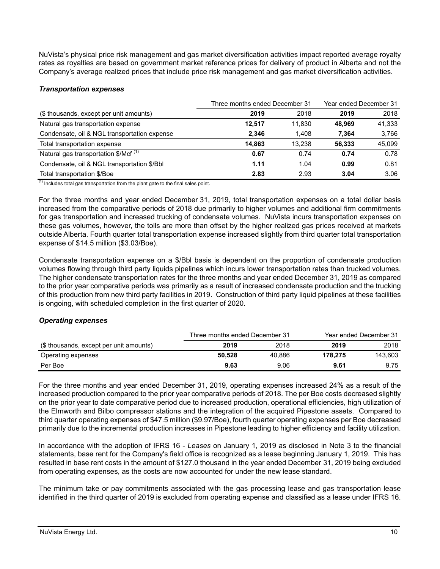NuVista's physical price risk management and gas market diversification activities impact reported average royalty rates as royalties are based on government market reference prices for delivery of product in Alberta and not the Company's average realized prices that include price risk management and gas market diversification activities.

## *Transportation expenses*

|                                                  | Three months ended December 31 | Year ended December 31 |        |        |
|--------------------------------------------------|--------------------------------|------------------------|--------|--------|
| (\$ thousands, except per unit amounts)          | 2019                           | 2018                   | 2019   | 2018   |
| Natural gas transportation expense               | 12.517                         | 11.830                 | 48.969 | 41,333 |
| Condensate, oil & NGL transportation expense     | 2.346                          | 1.408                  | 7.364  | 3,766  |
| Total transportation expense                     | 14.863                         | 13.238                 | 56.333 | 45.099 |
| Natural gas transportation \$/Mcf <sup>(1)</sup> | 0.67                           | 0.74                   | 0.74   | 0.78   |
| Condensate, oil & NGL transportation \$/Bbl      | 1.11                           | 1.04                   | 0.99   | 0.81   |
| Total transportation \$/Boe                      | 2.83                           | 2.93                   | 3.04   | 3.06   |

 $(1)$  Includes total gas transportation from the plant gate to the final sales point.

For the three months and year ended December 31, 2019, total transportation expenses on a total dollar basis increased from the comparative periods of 2018 due primarily to higher volumes and additional firm commitments for gas transportation and increased trucking of condensate volumes. NuVista incurs transportation expenses on these gas volumes, however, the tolls are more than offset by the higher realized gas prices received at markets outside Alberta. Fourth quarter total transportation expense increased slightly from third quarter total transportation expense of \$14.5 million (\$3.03/Boe).

Condensate transportation expense on a \$/Bbl basis is dependent on the proportion of condensate production volumes flowing through third party liquids pipelines which incurs lower transportation rates than trucked volumes. The higher condensate transportation rates for the three months and year ended December 31, 2019 as compared to the prior year comparative periods was primarily as a result of increased condensate production and the trucking of this production from new third party facilities in 2019. Construction of third party liquid pipelines at these facilities is ongoing, with scheduled completion in the first quarter of 2020.

## *Operating expenses*

|                                         | Three months ended December 31 |        | Year ended December 31 |         |
|-----------------------------------------|--------------------------------|--------|------------------------|---------|
| (\$ thousands, except per unit amounts) | 2019                           | 2018   | 2019                   | 2018    |
| Operating expenses                      | 50.528                         | 40.886 | 178.275                | 143.603 |
| Per Boe                                 | 9.63                           | 9.06   | 9.61                   | 9.75    |

For the three months and year ended December 31, 2019, operating expenses increased 24% as a result of the increased production compared to the prior year comparative periods of 2018. The per Boe costs decreased slightly on the prior year to date comparative period due to increased production, operational efficiencies, high utilization of the Elmworth and Bilbo compressor stations and the integration of the acquired Pipestone assets. Compared to third quarter operating expenses of \$47.5 million (\$9.97/Boe), fourth quarter operating expenses per Boe decreased primarily due to the incremental production increases in Pipestone leading to higher efficiency and facility utilization.

In accordance with the adoption of IFRS 16 - *Leases* on January 1, 2019 as disclosed in Note 3 to the financial statements, base rent for the Company's field office is recognized as a lease beginning January 1, 2019. This has resulted in base rent costs in the amount of \$127.0 thousand in the year ended December 31, 2019 being excluded from operating expenses, as the costs are now accounted for under the new lease standard.

The minimum take or pay commitments associated with the gas processing lease and gas transportation lease identified in the third quarter of 2019 is excluded from operating expense and classified as a lease under IFRS 16.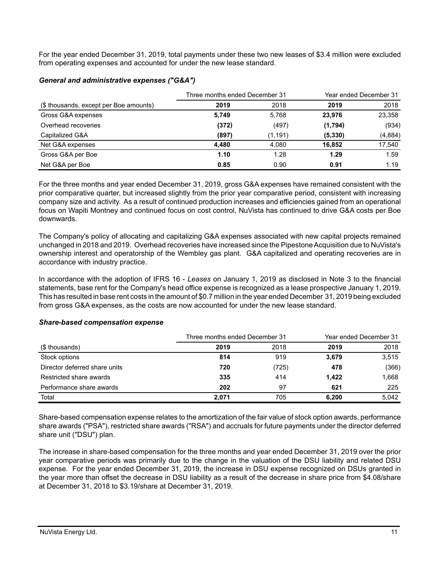For the year ended December 31, 2019, total payments under these two new leases of \$3.4 million were excluded from operating expenses and accounted for under the new lease standard.

|                                        | Three months ended December 31 | Year ended December 31 |          |         |
|----------------------------------------|--------------------------------|------------------------|----------|---------|
| (\$ thousands, except per Boe amounts) | 2019                           | 2018                   | 2019     | 2018    |
| Gross G&A expenses                     | 5,749                          | 5.768                  | 23,976   | 23,358  |
| Overhead recoveries                    | (372)                          | (497)                  | (1,794)  | (934)   |
| Capitalized G&A                        | (897)                          | (1, 191)               | (5, 330) | (4,884) |
| Net G&A expenses                       | 4,480                          | 4,080                  | 16,852   | 17,540  |
| Gross G&A per Boe                      | 1.10                           | 1.28                   | 1.29     | 1.59    |
| Net G&A per Boe                        | 0.85                           | 0.90                   | 0.91     | 1.19    |

#### *General and administrative expenses ("G&A")*

For the three months and year ended December 31, 2019, gross G&A expenses have remained consistent with the prior comparative quarter, but increased slightly from the prior year comparative period, consistent with increasing company size and activity. As a result of continued production increases and efficiencies gained from an operational focus on Wapiti Montney and continued focus on cost control, NuVista has continued to drive G&A costs per Boe downwards.

The Company's policy of allocating and capitalizing G&A expenses associated with new capital projects remained unchanged in 2018 and 2019. Overhead recoveries have increased since the Pipestone Acquisition due to NuVista's ownership interest and operatorship of the Wembley gas plant. G&A capitalized and operating recoveries are in accordance with industry practice.

In accordance with the adoption of IFRS 16 - *Leases* on January 1, 2019 as disclosed in Note 3 to the financial statements, base rent for the Company's head office expense is recognized as a lease prospective January 1, 2019. This has resulted in base rent costs in the amount of \$0.7 million in the year ended December 31, 2019 being excluded from gross G&A expenses, as the costs are now accounted for under the new lease standard.

|                               |       | Three months ended December 31 |       | Year ended December 31 |
|-------------------------------|-------|--------------------------------|-------|------------------------|
| (\$ thousands)                | 2019  | 2018                           | 2019  | 2018                   |
| Stock options                 | 814   | 919                            | 3,679 | 3,515                  |
| Director deferred share units | 720   | (725)                          | 478   | (366)                  |
| Restricted share awards       | 335   | 414                            | 1.422 | 1,668                  |
| Performance share awards      | 202   | 97                             | 621   | 225                    |
| Total                         | 2.071 | 705                            | 6,200 | 5.042                  |

## *Share-based compensation expense*

Share-based compensation expense relates to the amortization of the fair value of stock option awards, performance share awards ("PSA"), restricted share awards ("RSA") and accruals for future payments under the director deferred share unit ("DSU") plan.

The increase in share-based compensation for the three months and year ended December 31, 2019 over the prior year comparative periods was primarily due to the change in the valuation of the DSU liability and related DSU expense. For the year ended December 31, 2019, the increase in DSU expense recognized on DSUs granted in the year more than offset the decrease in DSU liability as a result of the decrease in share price from \$4.08/share at December 31, 2018 to \$3.19/share at December 31, 2019.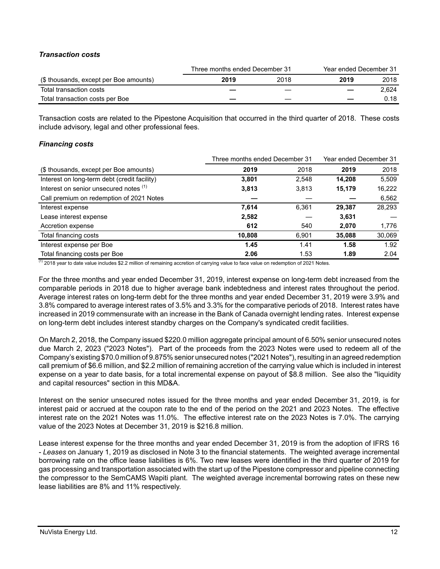## *Transaction costs*

|                                        |      | Three months ended December 31 | Year ended December 31 |       |  |
|----------------------------------------|------|--------------------------------|------------------------|-------|--|
| (\$ thousands, except per Boe amounts) | 2019 | 2018                           | 2019                   | 2018  |  |
| Total transaction costs                |      |                                |                        | 2.624 |  |
| Total transaction costs per Boe        |      |                                |                        | 0.18  |  |

Transaction costs are related to the Pipestone Acquisition that occurred in the third quarter of 2018. These costs include advisory, legal and other professional fees.

## *Financing costs*

|                                              | Three months ended December 31 |       | Year ended December 31 |        |
|----------------------------------------------|--------------------------------|-------|------------------------|--------|
| (\$ thousands, except per Boe amounts)       | 2019                           | 2018  | 2019                   | 2018   |
| Interest on long-term debt (credit facility) | 3,801                          | 2,548 | 14.208                 | 5.509  |
| Interest on senior unsecured notes (1)       | 3,813                          | 3,813 | 15,179                 | 16,222 |
| Call premium on redemption of 2021 Notes     |                                |       |                        | 6,562  |
| Interest expense                             | 7,614                          | 6,361 | 29,387                 | 28,293 |
| Lease interest expense                       | 2,582                          |       | 3,631                  |        |
| Accretion expense                            | 612                            | 540   | 2,070                  | 1,776  |
| Total financing costs                        | 10,808                         | 6,901 | 35,088                 | 30,069 |
| Interest expense per Boe                     | 1.45                           | 1.41  | 1.58                   | 1.92   |
| Total financing costs per Boe                | 2.06                           | 1.53  | 1.89                   | 2.04   |

 $<sup>(1)</sup>$  2018 year to date value includes \$2.2 million of remaining accretion of carrying value to face value on redemption of 2021 Notes.</sup>

For the three months and year ended December 31, 2019, interest expense on long-term debt increased from the comparable periods in 2018 due to higher average bank indebtedness and interest rates throughout the period. Average interest rates on long-term debt for the three months and year ended December 31, 2019 were 3.9% and 3.8% compared to average interest rates of 3.5% and 3.3% for the comparative periods of 2018. Interest rates have increased in 2019 commensurate with an increase in the Bank of Canada overnight lending rates. Interest expense on long-term debt includes interest standby charges on the Company's syndicated credit facilities.

On March 2, 2018, the Company issued \$220.0 million aggregate principal amount of 6.50% senior unsecured notes due March 2, 2023 ("2023 Notes"). Part of the proceeds from the 2023 Notes were used to redeem all of the Company's existing \$70.0 million of 9.875% senior unsecured notes ("2021 Notes"), resulting in an agreed redemption call premium of \$6.6 million, and \$2.2 million of remaining accretion of the carrying value which is included in interest expense on a year to date basis, for a total incremental expense on payout of \$8.8 million. See also the "liquidity and capital resources" section in this MD&A.

Interest on the senior unsecured notes issued for the three months and year ended December 31, 2019, is for interest paid or accrued at the coupon rate to the end of the period on the 2021 and 2023 Notes. The effective interest rate on the 2021 Notes was 11.0%. The effective interest rate on the 2023 Notes is 7.0%. The carrying value of the 2023 Notes at December 31, 2019 is \$216.8 million.

Lease interest expense for the three months and year ended December 31, 2019 is from the adoption of IFRS 16 - *Leases* on January 1, 2019 as disclosed in Note 3 to the financial statements. The weighted average incremental borrowing rate on the office lease liabilities is 6%. Two new leases were identified in the third quarter of 2019 for gas processing and transportation associated with the start up of the Pipestone compressor and pipeline connecting the compressor to the SemCAMS Wapiti plant. The weighted average incremental borrowing rates on these new lease liabilities are 8% and 11% respectively.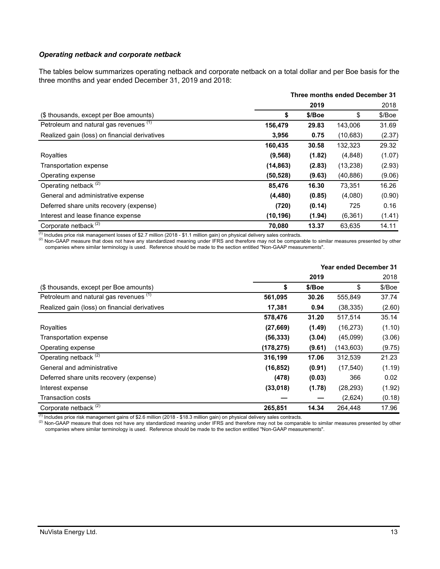### *Operating netback and corporate netback*

The tables below summarizes operating netback and corporate netback on a total dollar and per Boe basis for the three months and year ended December 31, 2019 and 2018:

|                                               | Three months ended December 31 |        |           |        |
|-----------------------------------------------|--------------------------------|--------|-----------|--------|
|                                               |                                | 2019   |           | 2018   |
| (\$ thousands, except per Boe amounts)        | \$                             | \$/Boe | \$        | \$/Boe |
| Petroleum and natural gas revenues (1)        | 156,479                        | 29.83  | 143,006   | 31.69  |
| Realized gain (loss) on financial derivatives | 3,956                          | 0.75   | (10,683)  | (2.37) |
|                                               | 160,435                        | 30.58  | 132,323   | 29.32  |
| Royalties                                     | (9, 568)                       | (1.82) | (4,848)   | (1.07) |
| Transportation expense                        | (14, 863)                      | (2.83) | (13,238)  | (2.93) |
| Operating expense                             | (50,528)                       | (9.63) | (40, 886) | (9.06) |
| Operating netback <sup>(2)</sup>              | 85,476                         | 16.30  | 73,351    | 16.26  |
| General and administrative expense            | (4, 480)                       | (0.85) | (4,080)   | (0.90) |
| Deferred share units recovery (expense)       | (720)                          | (0.14) | 725       | 0.16   |
| Interest and lease finance expense            | (10, 196)                      | (1.94) | (6, 361)  | (1.41) |
| Corporate netback <sup>(2)</sup>              | 70.080                         | 13.37  | 63,635    | 14.11  |

 $^{(1)}$  Includes price risk management losses of \$2.7 million (2018 - \$1.1 million gain) on physical delivery sales contracts.

 $^{(2)}$  Non-GAAP measure that does not have any standardized meaning under IFRS and therefore may not be comparable to similar measures presented by other companies where similar terminology is used. Reference should be made to the section entitled "Non-GAAP measurements".

|                                               | <b>Year ended December 31</b> |        |            |        |
|-----------------------------------------------|-------------------------------|--------|------------|--------|
|                                               |                               | 2019   |            | 2018   |
| (\$ thousands, except per Boe amounts)        | \$                            | \$/Boe | \$         | \$/Boe |
| Petroleum and natural gas revenues (1)        | 561,095                       | 30.26  | 555,849    | 37.74  |
| Realized gain (loss) on financial derivatives | 17,381                        | 0.94   | (38, 335)  | (2.60) |
|                                               | 578,476                       | 31.20  | 517,514    | 35.14  |
| Royalties                                     | (27, 669)                     | (1.49) | (16, 273)  | (1.10) |
| Transportation expense                        | (56, 333)                     | (3.04) | (45,099)   | (3.06) |
| Operating expense                             | (178, 275)                    | (9.61) | (143, 603) | (9.75) |
| Operating netback <sup>(2)</sup>              | 316,199                       | 17.06  | 312,539    | 21.23  |
| General and administrative                    | (16, 852)                     | (0.91) | (17, 540)  | (1.19) |
| Deferred share units recovery (expense)       | (478)                         | (0.03) | 366        | 0.02   |
| Interest expense                              | (33,018)                      | (1.78) | (28, 293)  | (1.92) |
| <b>Transaction costs</b>                      |                               |        | (2,624)    | (0.18) |
| Corporate netback <sup>(2)</sup>              | 265,851                       | 14.34  | 264,448    | 17.96  |

 $^{(1)}$  Includes price risk management gains of \$2.6 million (2018 - \$18.3 million gain) on physical delivery sales contracts.

 $^{(2)}$  Non-GAAP measure that does not have any standardized meaning under IFRS and therefore may not be comparable to similar measures presented by other companies where similar terminology is used. Reference should be made to the section entitled "Non-GAAP measurements".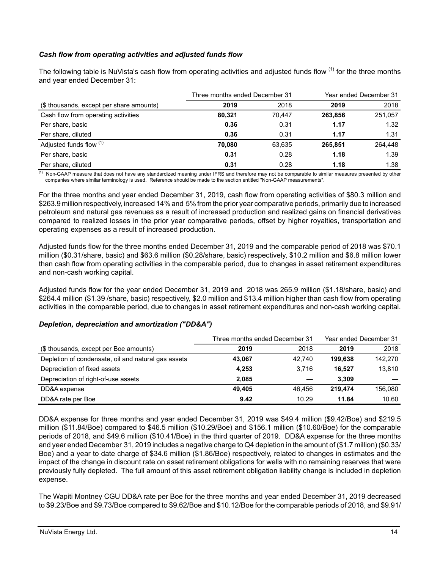# *Cash flow from operating activities and adjusted funds flow*

The following table is NuVista's cash flow from operating activities and adjusted funds flow <sup>(1)</sup> for the three months and year ended December 31:

|                                          | Three months ended December 31 |        | Year ended December 31 |         |  |
|------------------------------------------|--------------------------------|--------|------------------------|---------|--|
| (\$ thousands, except per share amounts) | 2019                           | 2018   | 2019                   | 2018    |  |
| Cash flow from operating activities      | 80.321                         | 70.447 | 263.856                | 251,057 |  |
| Per share, basic                         | 0.36                           | 0.31   | 1.17                   | 1.32    |  |
| Per share, diluted                       | 0.36                           | 0.31   | 1.17                   | 1.31    |  |
| Adjusted funds flow (1)                  | 70.080                         | 63,635 | 265.851                | 264.448 |  |
| Per share, basic                         | 0.31                           | 0.28   | 1.18                   | 1.39    |  |
| Per share, diluted                       | 0.31                           | 0.28   | 1.18                   | 1.38    |  |

 $<sup>(1)</sup>$  Non-GAAP measure that does not have any standardized meaning under IFRS and therefore may not be comparable to similar measures presented by other</sup> companies where similar terminology is used. Reference should be made to the section entitled "Non-GAAP measurements".

For the three months and year ended December 31, 2019, cash flow from operating activities of \$80.3 million and \$263.9 million respectively, increased 14% and 5% from the prior year comparative periods, primarily due to increased petroleum and natural gas revenues as a result of increased production and realized gains on financial derivatives compared to realized losses in the prior year comparative periods, offset by higher royalties, transportation and operating expenses as a result of increased production.

Adjusted funds flow for the three months ended December 31, 2019 and the comparable period of 2018 was \$70.1 million (\$0.31/share, basic) and \$63.6 million (\$0.28/share, basic) respectively, \$10.2 million and \$6.8 million lower than cash flow from operating activities in the comparable period, due to changes in asset retirement expenditures and non-cash working capital.

Adjusted funds flow for the year ended December 31, 2019 and 2018 was 265.9 million (\$1.18/share, basic) and \$264.4 million (\$1.39 /share, basic) respectively, \$2.0 million and \$13.4 million higher than cash flow from operating activities in the comparable period, due to changes in asset retirement expenditures and non-cash working capital.

## *Depletion, depreciation and amortization ("DD&A")*

|                                                     | Three months ended December 31 | Year ended December 31 |         |         |
|-----------------------------------------------------|--------------------------------|------------------------|---------|---------|
| (\$ thousands, except per Boe amounts)              | 2019                           | 2018                   | 2019    | 2018    |
| Depletion of condensate, oil and natural gas assets | 43,067                         | 42.740                 | 199.638 | 142,270 |
| Depreciation of fixed assets                        | 4,253                          | 3.716                  | 16.527  | 13,810  |
| Depreciation of right-of-use assets                 | 2.085                          |                        | 3.309   |         |
| DD&A expense                                        | 49.405                         | 46.456                 | 219.474 | 156,080 |
| DD&A rate per Boe                                   | 9.42                           | 10.29                  | 11.84   | 10.60   |

DD&A expense for three months and year ended December 31, 2019 was \$49.4 million (\$9.42/Boe) and \$219.5 million (\$11.84/Boe) compared to \$46.5 million (\$10.29/Boe) and \$156.1 million (\$10.60/Boe) for the comparable periods of 2018, and \$49.6 million (\$10.41/Boe) in the third quarter of 2019. DD&A expense for the three months and year ended December 31, 2019 includes a negative charge to Q4 depletion in the amount of (\$1.7 million) (\$0.33/ Boe) and a year to date charge of \$34.6 million (\$1.86/Boe) respectively, related to changes in estimates and the impact of the change in discount rate on asset retirement obligations for wells with no remaining reserves that were previously fully depleted. The full amount of this asset retirement obligation liability change is included in depletion expense.

The Wapiti Montney CGU DD&A rate per Boe for the three months and year ended December 31, 2019 decreased to \$9.23/Boe and \$9.73/Boe compared to \$9.62/Boe and \$10.12/Boe for the comparable periods of 2018, and \$9.91/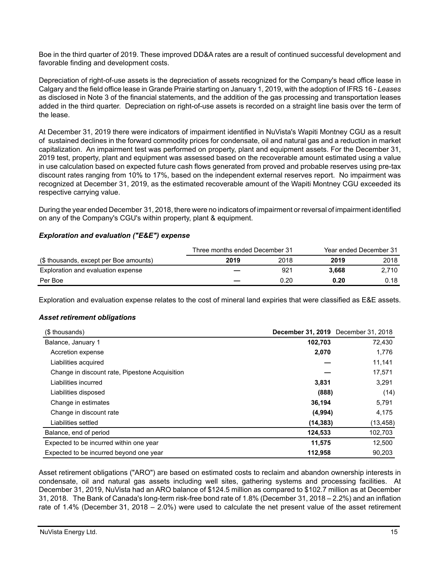Boe in the third quarter of 2019. These improved DD&A rates are a result of continued successful development and favorable finding and development costs.

Depreciation of right-of-use assets is the depreciation of assets recognized for the Company's head office lease in Calgary and the field office lease in Grande Prairie starting on January 1, 2019, with the adoption of IFRS 16 - *Leases* as disclosed in Note 3 of the financial statements, and the addition of the gas processing and transportation leases added in the third quarter. Depreciation on right-of-use assets is recorded on a straight line basis over the term of the lease.

At December 31, 2019 there were indicators of impairment identified in NuVista's Wapiti Montney CGU as a result of sustained declines in the forward commodity prices for condensate, oil and natural gas and a reduction in market capitalization. An impairment test was performed on property, plant and equipment assets. For the December 31, 2019 test, property, plant and equipment was assessed based on the recoverable amount estimated using a value in use calculation based on expected future cash flows generated from proved and probable reserves using pre-tax discount rates ranging from 10% to 17%, based on the independent external reserves report. No impairment was recognized at December 31, 2019, as the estimated recoverable amount of the Wapiti Montney CGU exceeded its respective carrying value.

During the year ended December 31, 2018, there were no indicators of impairment or reversal of impairment identified on any of the Company's CGU's within property, plant & equipment.

## *Exploration and evaluation ("E&E") expense*

|                                        | Three months ended December 31 |      | Year ended December 31 |       |  |
|----------------------------------------|--------------------------------|------|------------------------|-------|--|
| (\$ thousands, except per Boe amounts) | 2019                           | 2018 | 2019                   | 2018  |  |
| Exploration and evaluation expense     |                                | 921  | 3.668                  | 2,710 |  |
| Per Boe                                |                                | 0.20 | 0.20                   | 0.18  |  |

Exploration and evaluation expense relates to the cost of mineral land expiries that were classified as E&E assets.

## *Asset retirement obligations*

| (\$ thousands)                                 | <b>December 31, 2019</b> December 31, 2018 |           |
|------------------------------------------------|--------------------------------------------|-----------|
| Balance, January 1                             | 102,703                                    | 72,430    |
| Accretion expense                              | 2,070                                      | 1,776     |
| Liabilities acquired                           |                                            | 11,141    |
| Change in discount rate, Pipestone Acquisition |                                            | 17,571    |
| Liabilities incurred                           | 3,831                                      | 3,291     |
| Liabilities disposed                           | (888)                                      | (14)      |
| Change in estimates                            | 36,194                                     | 5,791     |
| Change in discount rate                        | (4,994)                                    | 4,175     |
| Liabilities settled                            | (14, 383)                                  | (13, 458) |
| Balance, end of period                         | 124,533                                    | 102,703   |
| Expected to be incurred within one year        | 11,575                                     | 12,500    |
| Expected to be incurred beyond one year        | 112.958                                    | 90.203    |

Asset retirement obligations ("ARO") are based on estimated costs to reclaim and abandon ownership interests in condensate, oil and natural gas assets including well sites, gathering systems and processing facilities. At December 31, 2019, NuVista had an ARO balance of \$124.5 million as compared to \$102.7 million as at December 31, 2018. The Bank of Canada's long-term risk-free bond rate of 1.8% (December 31, 2018 – 2.2%) and an inflation rate of 1.4% (December 31, 2018 – 2.0%) were used to calculate the net present value of the asset retirement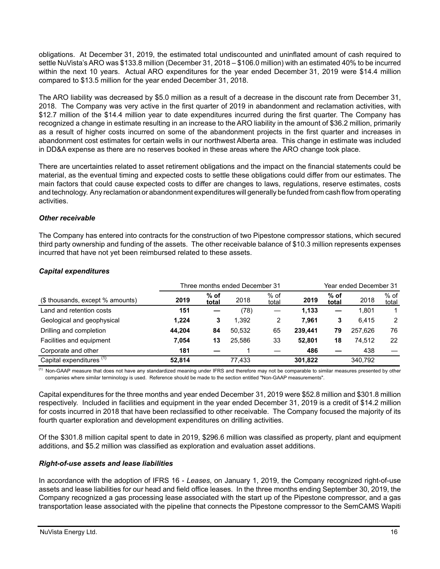obligations. At December 31, 2019, the estimated total undiscounted and uninflated amount of cash required to settle NuVista's ARO was \$133.8 million (December 31, 2018 – \$106.0 million) with an estimated 40% to be incurred within the next 10 years. Actual ARO expenditures for the year ended December 31, 2019 were \$14.4 million compared to \$13.5 million for the year ended December 31, 2018.

The ARO liability was decreased by \$5.0 million as a result of a decrease in the discount rate from December 31, 2018. The Company was very active in the first quarter of 2019 in abandonment and reclamation activities, with \$12.7 million of the \$14.4 million year to date expenditures incurred during the first quarter. The Company has recognized a change in estimate resulting in an increase to the ARO liability in the amount of \$36.2 million, primarily as a result of higher costs incurred on some of the abandonment projects in the first quarter and increases in abandonment cost estimates for certain wells in our northwest Alberta area. This change in estimate was included in DD&A expense as there are no reserves booked in these areas where the ARO change took place.

There are uncertainties related to asset retirement obligations and the impact on the financial statements could be material, as the eventual timing and expected costs to settle these obligations could differ from our estimates. The main factors that could cause expected costs to differ are changes to laws, regulations, reserve estimates, costs and technology. Any reclamation or abandonment expenditures will generally be funded from cash flow from operating activities.

## *Other receivable*

The Company has entered into contracts for the construction of two Pipestone compressor stations, which secured third party ownership and funding of the assets. The other receivable balance of \$10.3 million represents expenses incurred that have not yet been reimbursed related to these assets.

|                                     |        |                 |        | Three months ended December 31<br>Year ended December 31 |         |                 |         |                 |
|-------------------------------------|--------|-----------------|--------|----------------------------------------------------------|---------|-----------------|---------|-----------------|
| (\$ thousands, except % amounts)    | 2019   | $%$ of<br>total | 2018   | $%$ of<br>total                                          | 2019    | $%$ of<br>total | 2018    | $%$ of<br>total |
| Land and retention costs            | 151    |                 | (78)   |                                                          | 1.133   |                 | 1.801   |                 |
| Geological and geophysical          | 1.224  | 3               | 1.392  | 2                                                        | 7.961   | 3               | 6.415   | $\overline{2}$  |
| Drilling and completion             | 44.204 | 84              | 50.532 | 65                                                       | 239.441 | 79              | 257.626 | 76              |
| Facilities and equipment            | 7.054  | 13              | 25.586 | 33                                                       | 52.801  | 18              | 74.512  | 22              |
| Corporate and other                 | 181    |                 |        |                                                          | 486     |                 | 438     |                 |
| Capital expenditures <sup>(1)</sup> | 52.814 |                 | 77.433 |                                                          | 301,822 |                 | 340,792 |                 |

## *Capital expenditures*

<sup>(1)</sup> Non-GAAP measure that does not have any standardized meaning under IFRS and therefore may not be comparable to similar measures presented by other companies where similar terminology is used. Reference should be made to the section entitled "Non-GAAP measurements".

Capital expenditures for the three months and year ended December 31, 2019 were \$52.8 million and \$301.8 million respectively. Included in facilities and equipment in the year ended December 31, 2019 is a credit of \$14.2 million for costs incurred in 2018 that have been reclassified to other receivable. The Company focused the majority of its fourth quarter exploration and development expenditures on drilling activities.

Of the \$301.8 million capital spent to date in 2019, \$296.6 million was classified as property, plant and equipment additions, and \$5.2 million was classified as exploration and evaluation asset additions.

# *Right-of-use assets and lease liabilities*

In accordance with the adoption of IFRS 16 - *Leases*, on January 1, 2019, the Company recognized right-of-use assets and lease liabilities for our head and field office leases. In the three months ending September 30, 2019, the Company recognized a gas processing lease associated with the start up of the Pipestone compressor, and a gas transportation lease associated with the pipeline that connects the Pipestone compressor to the SemCAMS Wapiti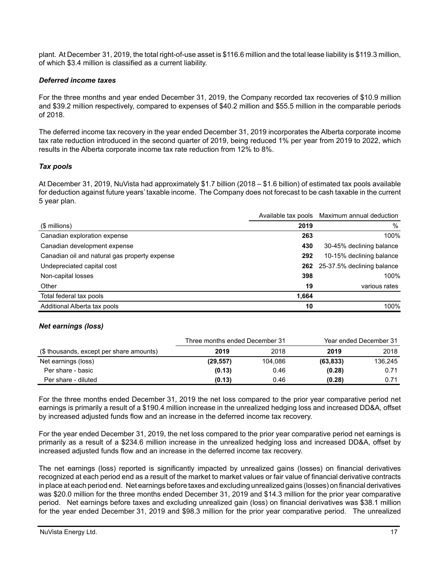plant. At December 31, 2019, the total right-of-use asset is \$116.6 million and the total lease liability is \$119.3 million, of which \$3.4 million is classified as a current liability.

### *Deferred income taxes*

For the three months and year ended December 31, 2019, the Company recorded tax recoveries of \$10.9 million and \$39.2 million respectively, compared to expenses of \$40.2 million and \$55.5 million in the comparable periods of 2018.

The deferred income tax recovery in the year ended December 31, 2019 incorporates the Alberta corporate income tax rate reduction introduced in the second quarter of 2019, being reduced 1% per year from 2019 to 2022, which results in the Alberta corporate income tax rate reduction from 12% to 8%.

### *Tax pools*

At December 31, 2019, NuVista had approximately \$1.7 billion (2018 – \$1.6 billion) of estimated tax pools available for deduction against future years' taxable income. The Company does not forecast to be cash taxable in the current 5 year plan.

|                                               | Available tax pools | Maximum annual deduction       |
|-----------------------------------------------|---------------------|--------------------------------|
| $$$ millions)                                 | 2019                | $\%$                           |
| Canadian exploration expense                  | 263                 | 100%                           |
| Canadian development expense                  | 430                 | 30-45% declining balance       |
| Canadian oil and natural gas property expense | 292                 | 10-15% declining balance       |
| Undepreciated capital cost                    |                     | 262 25-37.5% declining balance |
| Non-capital losses                            | 398                 | 100%                           |
| Other                                         | 19                  | various rates                  |
| Total federal tax pools                       | 1,664               |                                |
| Additional Alberta tax pools                  | 10                  | 100%                           |

## *Net earnings (loss)*

|                                          | Three months ended December 31 |         | Year ended December 31 |         |  |
|------------------------------------------|--------------------------------|---------|------------------------|---------|--|
| (\$ thousands, except per share amounts) | 2019                           | 2018    | 2019                   | 2018    |  |
| Net earnings (loss)                      | (29, 557)                      | 104.086 | (63, 833)              | 136.245 |  |
| Per share - basic                        | (0.13)                         | 0.46    | (0.28)                 | 0.71    |  |
| Per share - diluted                      | (0.13)                         | 0.46    | (0.28)                 | 0.71    |  |

For the three months ended December 31, 2019 the net loss compared to the prior year comparative period net earnings is primarily a result of a \$190.4 million increase in the unrealized hedging loss and increased DD&A, offset by increased adjusted funds flow and an increase in the deferred income tax recovery.

For the year ended December 31, 2019, the net loss compared to the prior year comparative period net earnings is primarily as a result of a \$234.6 million increase in the unrealized hedging loss and increased DD&A, offset by increased adjusted funds flow and an increase in the deferred income tax recovery.

The net earnings (loss) reported is significantly impacted by unrealized gains (losses) on financial derivatives recognized at each period end as a result of the market to market values or fair value of financial derivative contracts in place at each period end. Net earnings before taxes and excluding unrealized gains (losses) on financial derivatives was \$20.0 million for the three months ended December 31, 2019 and \$14.3 million for the prior year comparative period. Net earnings before taxes and excluding unrealized gain (loss) on financial derivatives was \$38.1 million for the year ended December 31, 2019 and \$98.3 million for the prior year comparative period. The unrealized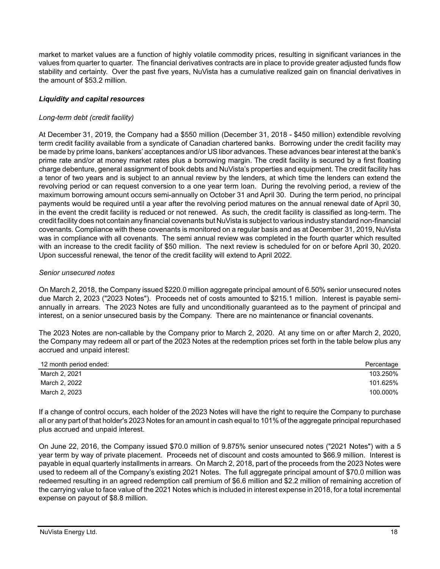market to market values are a function of highly volatile commodity prices, resulting in significant variances in the values from quarter to quarter. The financial derivatives contracts are in place to provide greater adjusted funds flow stability and certainty. Over the past five years, NuVista has a cumulative realized gain on financial derivatives in the amount of \$53.2 million.

# *Liquidity and capital resources*

## *Long-term debt (credit facility)*

At December 31, 2019, the Company had a \$550 million (December 31, 2018 - \$450 million) extendible revolving term credit facility available from a syndicate of Canadian chartered banks. Borrowing under the credit facility may be made by prime loans, bankers' acceptances and/or US libor advances. These advances bear interest at the bank's prime rate and/or at money market rates plus a borrowing margin. The credit facility is secured by a first floating charge debenture, general assignment of book debts and NuVista's properties and equipment. The credit facility has a tenor of two years and is subject to an annual review by the lenders, at which time the lenders can extend the revolving period or can request conversion to a one year term loan. During the revolving period, a review of the maximum borrowing amount occurs semi-annually on October 31 and April 30. During the term period, no principal payments would be required until a year after the revolving period matures on the annual renewal date of April 30, in the event the credit facility is reduced or not renewed. As such, the credit facility is classified as long-term. The credit facility does not contain any financial covenants but NuVista is subject to various industry standard non-financial covenants. Compliance with these covenants is monitored on a regular basis and as at December 31, 2019, NuVista was in compliance with all covenants. The semi annual review was completed in the fourth quarter which resulted with an increase to the credit facility of \$50 million. The next review is scheduled for on or before April 30, 2020. Upon successful renewal, the tenor of the credit facility will extend to April 2022.

## *Senior unsecured notes*

On March 2, 2018, the Company issued \$220.0 million aggregate principal amount of 6.50% senior unsecured notes due March 2, 2023 ("2023 Notes"). Proceeds net of costs amounted to \$215.1 million. Interest is payable semiannually in arrears. The 2023 Notes are fully and unconditionally guaranteed as to the payment of principal and interest, on a senior unsecured basis by the Company. There are no maintenance or financial covenants.

The 2023 Notes are non-callable by the Company prior to March 2, 2020. At any time on or after March 2, 2020, the Company may redeem all or part of the 2023 Notes at the redemption prices set forth in the table below plus any accrued and unpaid interest:

| 12 month period ended: | Percentage |
|------------------------|------------|
| March 2, 2021          | 103.250%   |
| March 2, 2022          | 101.625%   |
| March 2, 2023          | 100.000%   |

If a change of control occurs, each holder of the 2023 Notes will have the right to require the Company to purchase all or any part of that holder's 2023 Notes for an amount in cash equal to 101% of the aggregate principal repurchased plus accrued and unpaid interest.

On June 22, 2016, the Company issued \$70.0 million of 9.875% senior unsecured notes ("2021 Notes") with a 5 year term by way of private placement. Proceeds net of discount and costs amounted to \$66.9 million. Interest is payable in equal quarterly installments in arrears. On March 2, 2018, part of the proceeds from the 2023 Notes were used to redeem all of the Company's existing 2021 Notes. The full aggregate principal amount of \$70.0 million was redeemed resulting in an agreed redemption call premium of \$6.6 million and \$2.2 million of remaining accretion of the carrying value to face value of the 2021 Notes which is included in interest expense in 2018, for a total incremental expense on payout of \$8.8 million.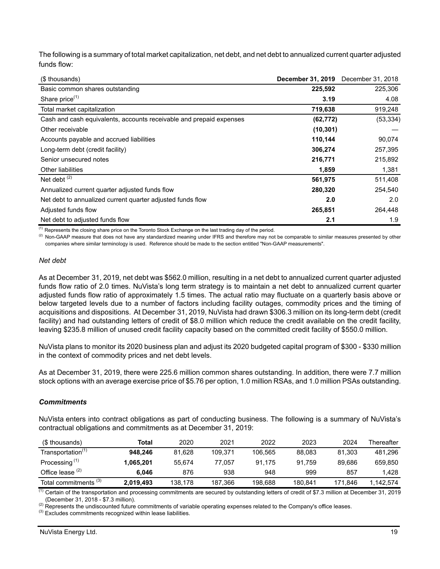The following is a summary of total market capitalization, net debt, and net debt to annualized current quarter adjusted funds flow:

| (\$ thousands)                                                      | December 31, 2019 December 31, 2018 |           |
|---------------------------------------------------------------------|-------------------------------------|-----------|
| Basic common shares outstanding                                     | 225,592                             | 225,306   |
| Share price <sup>(1)</sup>                                          | 3.19                                | 4.08      |
| Total market capitalization                                         | 719,638                             | 919,248   |
| Cash and cash equivalents, accounts receivable and prepaid expenses | (62, 772)                           | (53, 334) |
| Other receivable                                                    | (10, 301)                           |           |
| Accounts payable and accrued liabilities                            | 110,144                             | 90,074    |
| Long-term debt (credit facility)                                    | 306,274                             | 257,395   |
| Senior unsecured notes                                              | 216,771                             | 215,892   |
| Other liabilities                                                   | 1,859                               | 1,381     |
| Net debt $(2)$                                                      | 561,975                             | 511,408   |
| Annualized current quarter adjusted funds flow                      | 280,320                             | 254,540   |
| Net debt to annualized current quarter adjusted funds flow          | 2.0                                 | 2.0       |
| Adjusted funds flow                                                 | 265,851                             | 264,448   |
| Net debt to adjusted funds flow                                     | 2.1                                 | 1.9       |

 $<sup>(1)</sup>$  Represents the closing share price on the Toronto Stock Exchange on the last trading day of the period.</sup>

<sup>(2)</sup> Non-GAAP measure that does not have any standardized meaning under IFRS and therefore may not be comparable to similar measures presented by other companies where similar terminology is used. Reference should be made to the section entitled "Non-GAAP measurements".

#### *Net debt*

As at December 31, 2019, net debt was \$562.0 million, resulting in a net debt to annualized current quarter adjusted funds flow ratio of 2.0 times. NuVista's long term strategy is to maintain a net debt to annualized current quarter adjusted funds flow ratio of approximately 1.5 times. The actual ratio may fluctuate on a quarterly basis above or below targeted levels due to a number of factors including facility outages, commodity prices and the timing of acquisitions and dispositions. At December 31, 2019, NuVista had drawn \$306.3 million on its long-term debt (credit facility) and had outstanding letters of credit of \$8.0 million which reduce the credit available on the credit facility, leaving \$235.8 million of unused credit facility capacity based on the committed credit facility of \$550.0 million.

NuVista plans to monitor its 2020 business plan and adjust its 2020 budgeted capital program of \$300 - \$330 million in the context of commodity prices and net debt levels.

As at December 31, 2019, there were 225.6 million common shares outstanding. In addition, there were 7.7 million stock options with an average exercise price of \$5.76 per option, 1.0 million RSAs, and 1.0 million PSAs outstanding.

#### *Commitments*

NuVista enters into contract obligations as part of conducting business. The following is a summary of NuVista's contractual obligations and commitments as at December 31, 2019:

| (\$ thousands)                   | Total     | 2020    | 2021    | 2022    | 2023    | 2024    | Thereafter |
|----------------------------------|-----------|---------|---------|---------|---------|---------|------------|
| Transportation <sup>(1)</sup>    | 948.246   | 81.628  | 109.371 | 106.565 | 88,083  | 81.303  | 481,296    |
| Processing <sup>(1)</sup>        | 1.065.201 | 55.674  | 77.057  | 91.175  | 91.759  | 89.686  | 659.850    |
| Office lease $(2)$               | 6.046     | 876     | 938     | 948     | 999     | 857     | 1.428      |
| Total commitments <sup>(3)</sup> | 2.019.493 | 138.178 | 187,366 | 198.688 | 180.841 | 171.846 | 1.142.574  |

 $\overline{^{(1)}}$  Certain of the transportation and processing commitments are secured by outstanding letters of credit of \$7.3 million at December 31, 2019 (December 31, 2018 - \$7.3 million).

(2) Represents the undiscounted future commitments of variable operating expenses related to the Company's office leases.

<sup>(3)</sup> Excludes commitments recognized within lease liabilities.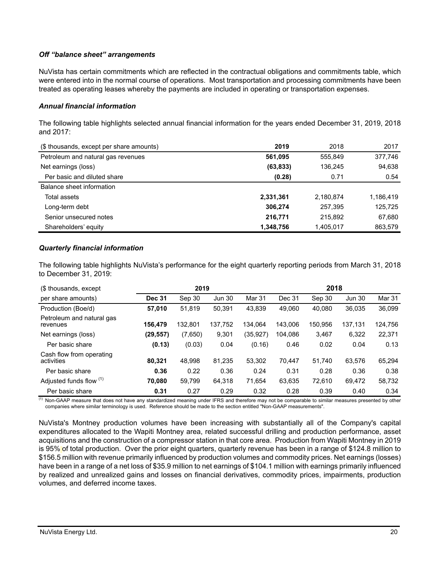## *Off "balance sheet" arrangements*

NuVista has certain commitments which are reflected in the contractual obligations and commitments table, which were entered into in the normal course of operations. Most transportation and processing commitments have been treated as operating leases whereby the payments are included in operating or transportation expenses.

### *Annual financial information*

The following table highlights selected annual financial information for the years ended December 31, 2019, 2018 and 2017:

| (\$ thousands, except per share amounts) | 2019      | 2018      | 2017      |
|------------------------------------------|-----------|-----------|-----------|
| Petroleum and natural gas revenues       | 561,095   | 555,849   | 377,746   |
| Net earnings (loss)                      | (63, 833) | 136,245   | 94,638    |
| Per basic and diluted share              | (0.28)    | 0.71      | 0.54      |
| Balance sheet information                |           |           |           |
| Total assets                             | 2,331,361 | 2,180,874 | 1,186,419 |
| Long-term debt                           | 306,274   | 257,395   | 125,725   |
| Senior unsecured notes                   | 216,771   | 215,892   | 67,680    |
| Shareholders' equity                     | 1,348,756 | 1,405,017 | 863,579   |

### *Quarterly financial information*

The following table highlights NuVista's performance for the eight quarterly reporting periods from March 31, 2018 to December 31, 2019:

| (\$ thousands, except                  | 2019          |         |               |          |         | 2018    |               |         |
|----------------------------------------|---------------|---------|---------------|----------|---------|---------|---------------|---------|
| per share amounts)                     | <b>Dec 31</b> | Sep 30  | <b>Jun 30</b> | Mar 31   | Dec 31  | Sep 30  | <b>Jun 30</b> | Mar 31  |
| Production (Boe/d)                     | 57,010        | 51,819  | 50,391        | 43,839   | 49.060  | 40,080  | 36,035        | 36,099  |
| Petroleum and natural gas<br>revenues  | 156.479       | 132.801 | 137,752       | 134.064  | 143.006 | 150.956 | 137,131       | 124,756 |
| Net earnings (loss)                    | (29, 557)     | (7,650) | 9,301         | (35,927) | 104.086 | 3,467   | 6,322         | 22,371  |
| Per basic share                        | (0.13)        | (0.03)  | 0.04          | (0.16)   | 0.46    | 0.02    | 0.04          | 0.13    |
| Cash flow from operating<br>activities | 80.321        | 48.998  | 81.235        | 53.302   | 70.447  | 51,740  | 63,576        | 65,294  |
| Per basic share                        | 0.36          | 0.22    | 0.36          | 0.24     | 0.31    | 0.28    | 0.36          | 0.38    |
| Adjusted funds flow (1)                | 70.080        | 59,799  | 64,318        | 71.654   | 63,635  | 72,610  | 69,472        | 58,732  |
| Per basic share                        | 0.31          | 0.27    | 0.29          | 0.32     | 0.28    | 0.39    | 0.40          | 0.34    |

 $\frac{(1)}{(1)}$  Non-GAAP measure that does not have any standardized meaning under IFRS and therefore may not be comparable to similar measures presented by other companies where similar terminology is used. Reference should be made to the section entitled "Non-GAAP measurements".

NuVista's Montney production volumes have been increasing with substantially all of the Company's capital expenditures allocated to the Wapiti Montney area, related successful drilling and production performance, asset acquisitions and the construction of a compressor station in that core area. Production from Wapiti Montney in 2019 is 95% of total production. Over the prior eight quarters, quarterly revenue has been in a range of \$124.8 million to \$156.5 million with revenue primarily influenced by production volumes and commodity prices. Net earnings (losses) have been in a range of a net loss of \$35.9 million to net earnings of \$104.1 million with earnings primarily influenced by realized and unrealized gains and losses on financial derivatives, commodity prices, impairments, production volumes, and deferred income taxes.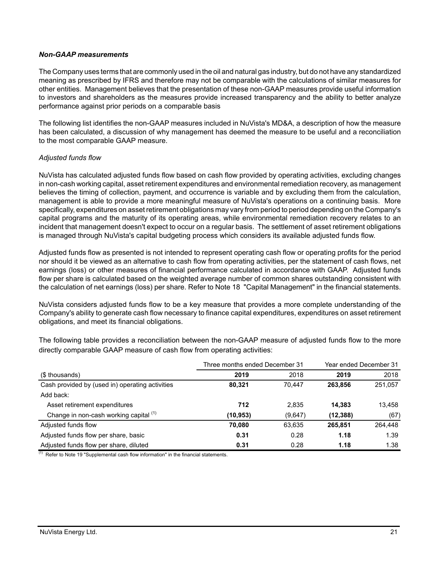### *Non-GAAP measurements*

The Company uses terms that are commonly used in the oil and natural gas industry, but do not have any standardized meaning as prescribed by IFRS and therefore may not be comparable with the calculations of similar measures for other entities. Management believes that the presentation of these non-GAAP measures provide useful information to investors and shareholders as the measures provide increased transparency and the ability to better analyze performance against prior periods on a comparable basis

The following list identifies the non-GAAP measures included in NuVista's MD&A, a description of how the measure has been calculated, a discussion of why management has deemed the measure to be useful and a reconciliation to the most comparable GAAP measure.

## *Adjusted funds flow*

NuVista has calculated adjusted funds flow based on cash flow provided by operating activities, excluding changes in non-cash working capital, asset retirement expenditures and environmental remediation recovery, as management believes the timing of collection, payment, and occurrence is variable and by excluding them from the calculation, management is able to provide a more meaningful measure of NuVista's operations on a continuing basis. More specifically, expenditures on asset retirement obligations may vary from period to period depending on the Company's capital programs and the maturity of its operating areas, while environmental remediation recovery relates to an incident that management doesn't expect to occur on a regular basis. The settlement of asset retirement obligations is managed through NuVista's capital budgeting process which considers its available adjusted funds flow.

Adjusted funds flow as presented is not intended to represent operating cash flow or operating profits for the period nor should it be viewed as an alternative to cash flow from operating activities, per the statement of cash flows, net earnings (loss) or other measures of financial performance calculated in accordance with GAAP. Adjusted funds flow per share is calculated based on the weighted average number of common shares outstanding consistent with the calculation of net earnings (loss) per share. Refer to Note 18 "Capital Management" in the financial statements.

NuVista considers adjusted funds flow to be a key measure that provides a more complete understanding of the Company's ability to generate cash flow necessary to finance capital expenditures, expenditures on asset retirement obligations, and meet its financial obligations.

The following table provides a reconciliation between the non-GAAP measure of adjusted funds flow to the more directly comparable GAAP measure of cash flow from operating activities:

|                                                 | Three months ended December 31 | Year ended December 31 |           |         |
|-------------------------------------------------|--------------------------------|------------------------|-----------|---------|
| (\$ thousands)                                  | 2019                           | 2018                   | 2019      | 2018    |
| Cash provided by (used in) operating activities | 80.321                         | 70.447                 | 263.856   | 251,057 |
| Add back:                                       |                                |                        |           |         |
| Asset retirement expenditures                   | 712                            | 2.835                  | 14.383    | 13.458  |
| Change in non-cash working capital (1)          | (10,953)                       | (9,647)                | (12, 388) | (67)    |
| Adjusted funds flow                             | 70.080                         | 63.635                 | 265.851   | 264,448 |
| Adjusted funds flow per share, basic            | 0.31                           | 0.28                   | 1.18      | 1.39    |
| Adjusted funds flow per share, diluted          | 0.31                           | 0.28                   | 1.18      | 1.38    |

 $(1)$  Refer to Note 19 "Supplemental cash flow information" in the financial statements.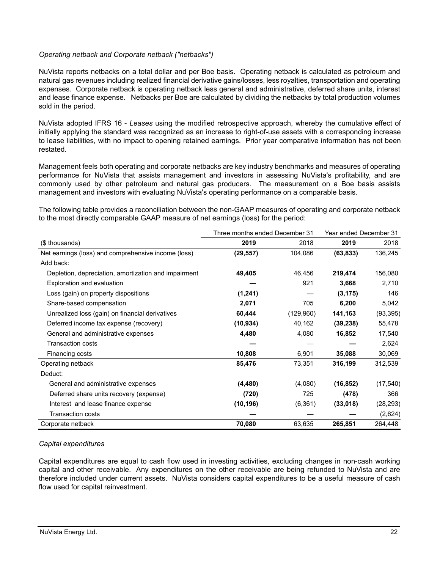## *Operating netback and Corporate netback ("netbacks")*

NuVista reports netbacks on a total dollar and per Boe basis. Operating netback is calculated as petroleum and natural gas revenues including realized financial derivative gains/losses, less royalties, transportation and operating expenses. Corporate netback is operating netback less general and administrative, deferred share units, interest and lease finance expense. Netbacks per Boe are calculated by dividing the netbacks by total production volumes sold in the period.

NuVista adopted IFRS 16 - *Leases* using the modified retrospective approach, whereby the cumulative effect of initially applying the standard was recognized as an increase to right-of-use assets with a corresponding increase to lease liabilities, with no impact to opening retained earnings. Prior year comparative information has not been restated.

Management feels both operating and corporate netbacks are key industry benchmarks and measures of operating performance for NuVista that assists management and investors in assessing NuVista's profitability, and are commonly used by other petroleum and natural gas producers. The measurement on a Boe basis assists management and investors with evaluating NuVista's operating performance on a comparable basis.

The following table provides a reconciliation between the non-GAAP measures of operating and corporate netback to the most directly comparable GAAP measure of net earnings (loss) for the period:

|                                                      | Three months ended December 31 |           | Year ended December 31 |           |
|------------------------------------------------------|--------------------------------|-----------|------------------------|-----------|
| (\$ thousands)                                       | 2019                           | 2018      | 2019                   | 2018      |
| Net earnings (loss) and comprehensive income (loss)  | (29, 557)                      | 104,086   | (63, 833)              | 136,245   |
| Add back:                                            |                                |           |                        |           |
| Depletion, depreciation, amortization and impairment | 49,405                         | 46,456    | 219,474                | 156,080   |
| Exploration and evaluation                           |                                | 921       | 3,668                  | 2,710     |
| Loss (gain) on property dispositions                 | (1,241)                        |           | (3, 175)               | 146       |
| Share-based compensation                             | 2,071                          | 705       | 6,200                  | 5,042     |
| Unrealized loss (gain) on financial derivatives      | 60,444                         | (129,960) | 141,163                | (93, 395) |
| Deferred income tax expense (recovery)               | (10, 934)                      | 40,162    | (39, 238)              | 55,478    |
| General and administrative expenses                  | 4,480                          | 4,080     | 16,852                 | 17,540    |
| <b>Transaction costs</b>                             |                                |           |                        | 2,624     |
| Financing costs                                      | 10,808                         | 6,901     | 35,088                 | 30,069    |
| Operating netback                                    | 85,476                         | 73,351    | 316,199                | 312,539   |
| Deduct:                                              |                                |           |                        |           |
| General and administrative expenses                  | (4, 480)                       | (4,080)   | (16, 852)              | (17, 540) |
| Deferred share units recovery (expense)              | (720)                          | 725       | (478)                  | 366       |
| Interest and lease finance expense                   | (10, 196)                      | (6, 361)  | (33,018)               | (28, 293) |
| <b>Transaction costs</b>                             |                                |           |                        | (2,624)   |
| Corporate netback                                    | 70,080                         | 63,635    | 265,851                | 264,448   |

## *Capital expenditures*

Capital expenditures are equal to cash flow used in investing activities, excluding changes in non-cash working capital and other receivable. Any expenditures on the other receivable are being refunded to NuVista and are therefore included under current assets. NuVista considers capital expenditures to be a useful measure of cash flow used for capital reinvestment.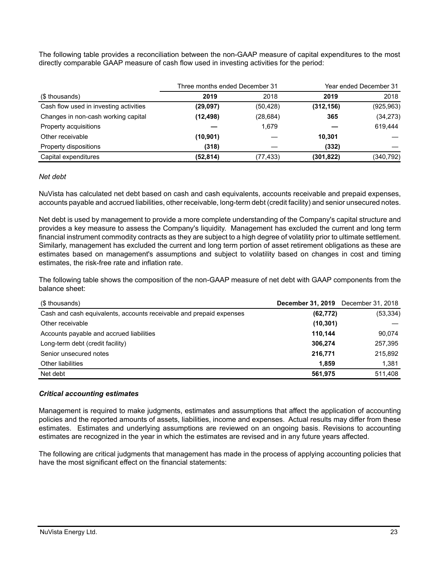The following table provides a reconciliation between the non-GAAP measure of capital expenditures to the most directly comparable GAAP measure of cash flow used in investing activities for the period:

|                                        | Three months ended December 31 |           | Year ended December 31 |            |
|----------------------------------------|--------------------------------|-----------|------------------------|------------|
| (\$ thousands)                         | 2019                           | 2018      | 2019                   | 2018       |
| Cash flow used in investing activities | (29, 097)                      | (50, 428) | (312, 156)             | (925, 963) |
| Changes in non-cash working capital    | (12, 498)                      | (28, 684) | 365                    | (34, 273)  |
| Property acquisitions                  |                                | 1.679     |                        | 619.444    |
| Other receivable                       | (10, 901)                      |           | 10,301                 |            |
| Property dispositions                  | (318)                          |           | (332)                  |            |
| Capital expenditures                   | (52, 814)                      | (77, 433) | (301,822)              | (340, 792) |

### *Net debt*

NuVista has calculated net debt based on cash and cash equivalents, accounts receivable and prepaid expenses, accounts payable and accrued liabilities, other receivable, long-term debt (credit facility) and senior unsecured notes.

Net debt is used by management to provide a more complete understanding of the Company's capital structure and provides a key measure to assess the Company's liquidity. Management has excluded the current and long term financial instrument commodity contracts as they are subject to a high degree of volatility prior to ultimate settlement. Similarly, management has excluded the current and long term portion of asset retirement obligations as these are estimates based on management's assumptions and subject to volatility based on changes in cost and timing estimates, the risk-free rate and inflation rate.

The following table shows the composition of the non-GAAP measure of net debt with GAAP components from the balance sheet:

| (\$ thousands)                                                      | <b>December 31, 2019</b> December 31, 2018 |           |
|---------------------------------------------------------------------|--------------------------------------------|-----------|
| Cash and cash equivalents, accounts receivable and prepaid expenses | (62, 772)                                  | (53, 334) |
| Other receivable                                                    | (10, 301)                                  |           |
| Accounts payable and accrued liabilities                            | 110.144                                    | 90,074    |
| Long-term debt (credit facility)                                    | 306.274                                    | 257,395   |
| Senior unsecured notes                                              | 216,771                                    | 215,892   |
| Other liabilities                                                   | 1.859                                      | 1,381     |
| Net debt                                                            | 561.975                                    | 511,408   |

## *Critical accounting estimates*

Management is required to make judgments, estimates and assumptions that affect the application of accounting policies and the reported amounts of assets, liabilities, income and expenses. Actual results may differ from these estimates. Estimates and underlying assumptions are reviewed on an ongoing basis. Revisions to accounting estimates are recognized in the year in which the estimates are revised and in any future years affected.

The following are critical judgments that management has made in the process of applying accounting policies that have the most significant effect on the financial statements: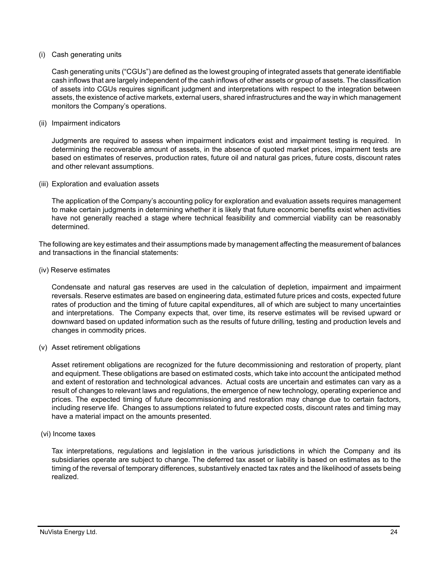### (i) Cash generating units

Cash generating units ("CGUs") are defined as the lowest grouping of integrated assets that generate identifiable cash inflows that are largely independent of the cash inflows of other assets or group of assets. The classification of assets into CGUs requires significant judgment and interpretations with respect to the integration between assets, the existence of active markets, external users, shared infrastructures and the way in which management monitors the Company's operations.

### (ii) Impairment indicators

Judgments are required to assess when impairment indicators exist and impairment testing is required. In determining the recoverable amount of assets, in the absence of quoted market prices, impairment tests are based on estimates of reserves, production rates, future oil and natural gas prices, future costs, discount rates and other relevant assumptions.

(iii) Exploration and evaluation assets

The application of the Company's accounting policy for exploration and evaluation assets requires management to make certain judgments in determining whether it is likely that future economic benefits exist when activities have not generally reached a stage where technical feasibility and commercial viability can be reasonably determined.

The following are key estimates and their assumptions made by management affecting the measurement of balances and transactions in the financial statements:

### (iv) Reserve estimates

Condensate and natural gas reserves are used in the calculation of depletion, impairment and impairment reversals. Reserve estimates are based on engineering data, estimated future prices and costs, expected future rates of production and the timing of future capital expenditures, all of which are subject to many uncertainties and interpretations. The Company expects that, over time, its reserve estimates will be revised upward or downward based on updated information such as the results of future drilling, testing and production levels and changes in commodity prices.

(v) Asset retirement obligations

Asset retirement obligations are recognized for the future decommissioning and restoration of property, plant and equipment. These obligations are based on estimated costs, which take into account the anticipated method and extent of restoration and technological advances. Actual costs are uncertain and estimates can vary as a result of changes to relevant laws and regulations, the emergence of new technology, operating experience and prices. The expected timing of future decommissioning and restoration may change due to certain factors, including reserve life. Changes to assumptions related to future expected costs, discount rates and timing may have a material impact on the amounts presented.

(vi) Income taxes

Tax interpretations, regulations and legislation in the various jurisdictions in which the Company and its subsidiaries operate are subject to change. The deferred tax asset or liability is based on estimates as to the timing of the reversal of temporary differences, substantively enacted tax rates and the likelihood of assets being realized.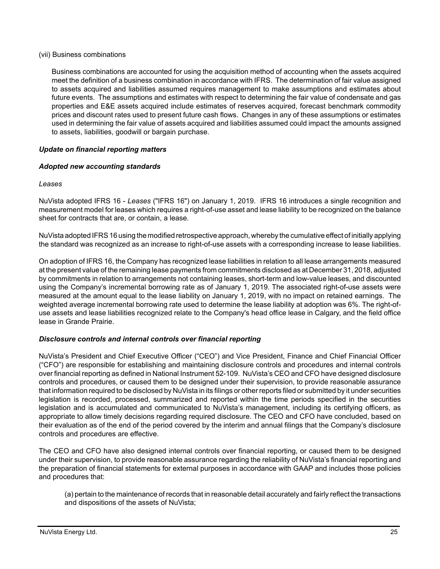### (vii) Business combinations

Business combinations are accounted for using the acquisition method of accounting when the assets acquired meet the definition of a business combination in accordance with IFRS. The determination of fair value assigned to assets acquired and liabilities assumed requires management to make assumptions and estimates about future events. The assumptions and estimates with respect to determining the fair value of condensate and gas properties and E&E assets acquired include estimates of reserves acquired, forecast benchmark commodity prices and discount rates used to present future cash flows. Changes in any of these assumptions or estimates used in determining the fair value of assets acquired and liabilities assumed could impact the amounts assigned to assets, liabilities, goodwill or bargain purchase.

## *Update on financial reporting matters*

## *Adopted new accounting standards*

## *Leases*

NuVista adopted IFRS 16 - *Leases* ("IFRS 16") on January 1, 2019. IFRS 16 introduces a single recognition and measurement model for leases which requires a right-of-use asset and lease liability to be recognized on the balance sheet for contracts that are, or contain, a lease.

NuVista adopted IFRS 16 using the modified retrospective approach, whereby the cumulative effect of initially applying the standard was recognized as an increase to right-of-use assets with a corresponding increase to lease liabilities.

On adoption of IFRS 16, the Company has recognized lease liabilities in relation to all lease arrangements measured at the present value of the remaining lease payments from commitments disclosed as at December 31, 2018, adjusted by commitments in relation to arrangements not containing leases, short-term and low-value leases, and discounted using the Company's incremental borrowing rate as of January 1, 2019. The associated right-of-use assets were measured at the amount equal to the lease liability on January 1, 2019, with no impact on retained earnings. The weighted average incremental borrowing rate used to determine the lease liability at adoption was 6%. The right-ofuse assets and lease liabilities recognized relate to the Company's head office lease in Calgary, and the field office lease in Grande Prairie.

# *Disclosure controls and internal controls over financial reporting*

NuVista's President and Chief Executive Officer ("CEO") and Vice President, Finance and Chief Financial Officer ("CFO") are responsible for establishing and maintaining disclosure controls and procedures and internal controls over financial reporting as defined in National Instrument 52-109. NuVista's CEO and CFO have designed disclosure controls and procedures, or caused them to be designed under their supervision, to provide reasonable assurance that information required to be disclosed by NuVista in its filings or other reports filed or submitted by it under securities legislation is recorded, processed, summarized and reported within the time periods specified in the securities legislation and is accumulated and communicated to NuVista's management, including its certifying officers, as appropriate to allow timely decisions regarding required disclosure. The CEO and CFO have concluded, based on their evaluation as of the end of the period covered by the interim and annual filings that the Company's disclosure controls and procedures are effective.

The CEO and CFO have also designed internal controls over financial reporting, or caused them to be designed under their supervision, to provide reasonable assurance regarding the reliability of NuVista's financial reporting and the preparation of financial statements for external purposes in accordance with GAAP and includes those policies and procedures that:

(a) pertain to the maintenance of records that in reasonable detail accurately and fairly reflect the transactions and dispositions of the assets of NuVista;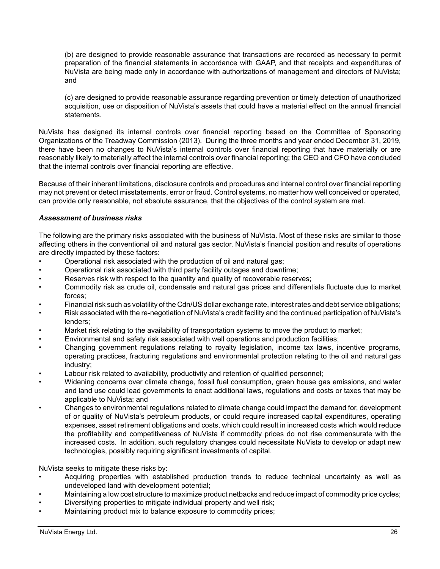(b) are designed to provide reasonable assurance that transactions are recorded as necessary to permit preparation of the financial statements in accordance with GAAP, and that receipts and expenditures of NuVista are being made only in accordance with authorizations of management and directors of NuVista; and

(c) are designed to provide reasonable assurance regarding prevention or timely detection of unauthorized acquisition, use or disposition of NuVista's assets that could have a material effect on the annual financial statements.

NuVista has designed its internal controls over financial reporting based on the Committee of Sponsoring Organizations of the Treadway Commission (2013). During the three months and year ended December 31, 2019, there have been no changes to NuVista's internal controls over financial reporting that have materially or are reasonably likely to materially affect the internal controls over financial reporting; the CEO and CFO have concluded that the internal controls over financial reporting are effective.

Because of their inherent limitations, disclosure controls and procedures and internal control over financial reporting may not prevent or detect misstatements, error or fraud. Control systems, no matter how well conceived or operated, can provide only reasonable, not absolute assurance, that the objectives of the control system are met.

## *Assessment of business risks*

The following are the primary risks associated with the business of NuVista. Most of these risks are similar to those affecting others in the conventional oil and natural gas sector. NuVista's financial position and results of operations are directly impacted by these factors:

- Operational risk associated with the production of oil and natural gas;
- Operational risk associated with third party facility outages and downtime;
- Reserves risk with respect to the quantity and quality of recoverable reserves;
- Commodity risk as crude oil, condensate and natural gas prices and differentials fluctuate due to market forces;
- Financial risk such as volatility of the Cdn/US dollar exchange rate, interest rates and debt service obligations;
- Risk associated with the re-negotiation of NuVista's credit facility and the continued participation of NuVista's lenders;
- Market risk relating to the availability of transportation systems to move the product to market;
- Environmental and safety risk associated with well operations and production facilities;
- Changing government regulations relating to royalty legislation, income tax laws, incentive programs, operating practices, fracturing regulations and environmental protection relating to the oil and natural gas industry;
- Labour risk related to availability, productivity and retention of qualified personnel;
- Widening concerns over climate change, fossil fuel consumption, green house gas emissions, and water and land use could lead governments to enact additional laws, regulations and costs or taxes that may be applicable to NuVista; and
- Changes to environmental regulations related to climate change could impact the demand for, development of or quality of NuVista's petroleum products, or could require increased capital expenditures, operating expenses, asset retirement obligations and costs, which could result in increased costs which would reduce the profitability and competitiveness of NuVista if commodity prices do not rise commensurate with the increased costs. In addition, such regulatory changes could necessitate NuVista to develop or adapt new technologies, possibly requiring significant investments of capital.

NuVista seeks to mitigate these risks by:

- Acquiring properties with established production trends to reduce technical uncertainty as well as undeveloped land with development potential;
- Maintaining a low cost structure to maximize product netbacks and reduce impact of commodity price cycles;
- Diversifying properties to mitigate individual property and well risk;
- Maintaining product mix to balance exposure to commodity prices;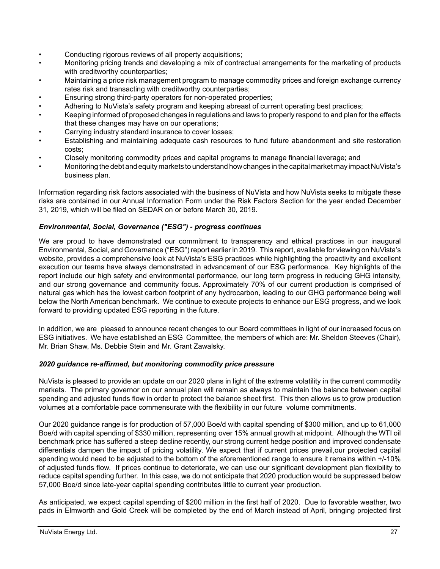- Conducting rigorous reviews of all property acquisitions;
- Monitoring pricing trends and developing a mix of contractual arrangements for the marketing of products with creditworthy counterparties;
- Maintaining a price risk management program to manage commodity prices and foreign exchange currency rates risk and transacting with creditworthy counterparties;
- Ensuring strong third-party operators for non-operated properties;
- Adhering to NuVista's safety program and keeping abreast of current operating best practices;
- Keeping informed of proposed changes in regulations and laws to properly respond to and plan for the effects that these changes may have on our operations;
- Carrying industry standard insurance to cover losses;
- Establishing and maintaining adequate cash resources to fund future abandonment and site restoration costs;
- Closely monitoring commodity prices and capital programs to manage financial leverage; and
- Monitoring the debt and equity markets to understand how changes in the capital market may impact NuVista's business plan.

Information regarding risk factors associated with the business of NuVista and how NuVista seeks to mitigate these risks are contained in our Annual Information Form under the Risk Factors Section for the year ended December 31, 2019, which will be filed on SEDAR on or before March 30, 2019.

## *Environmental, Social, Governance ("ESG") - progress continues*

We are proud to have demonstrated our commitment to transparency and ethical practices in our inaugural Environmental, Social, and Governance ("ESG") report earlier in 2019. This report, available for viewing on NuVista's website, provides a comprehensive look at NuVista's ESG practices while highlighting the proactivity and excellent execution our teams have always demonstrated in advancement of our ESG performance. Key highlights of the report include our high safety and environmental performance, our long term progress in reducing GHG intensity, and our strong governance and community focus. Approximately 70% of our current production is comprised of natural gas which has the lowest carbon footprint of any hydrocarbon, leading to our GHG performance being well below the North American benchmark. We continue to execute projects to enhance our ESG progress, and we look forward to providing updated ESG reporting in the future.

In addition, we are pleased to announce recent changes to our Board committees in light of our increased focus on ESG initiatives. We have established an ESG Committee, the members of which are: Mr. Sheldon Steeves (Chair), Mr. Brian Shaw, Ms. Debbie Stein and Mr. Grant Zawalsky.

## *2020 guidance re-affirmed, but monitoring commodity price pressure*

NuVista is pleased to provide an update on our 2020 plans in light of the extreme volatility in the current commodity markets. The primary governor on our annual plan will remain as always to maintain the balance between capital spending and adjusted funds flow in order to protect the balance sheet first. This then allows us to grow production volumes at a comfortable pace commensurate with the flexibility in our future volume commitments.

Our 2020 guidance range is for production of 57,000 Boe/d with capital spending of \$300 million, and up to 61,000 Boe/d with capital spending of \$330 million, representing over 15% annual growth at midpoint. Although the WTI oil benchmark price has suffered a steep decline recently, our strong current hedge position and improved condensate differentials dampen the impact of pricing volatility. We expect that if current prices prevail,our projected capital spending would need to be adjusted to the bottom of the aforementioned range to ensure it remains within +/-10% of adjusted funds flow. If prices continue to deteriorate, we can use our significant development plan flexibility to reduce capital spending further. In this case, we do not anticipate that 2020 production would be suppressed below 57,000 Boe/d since late-year capital spending contributes little to current year production.

As anticipated, we expect capital spending of \$200 million in the first half of 2020. Due to favorable weather, two pads in Elmworth and Gold Creek will be completed by the end of March instead of April, bringing projected first